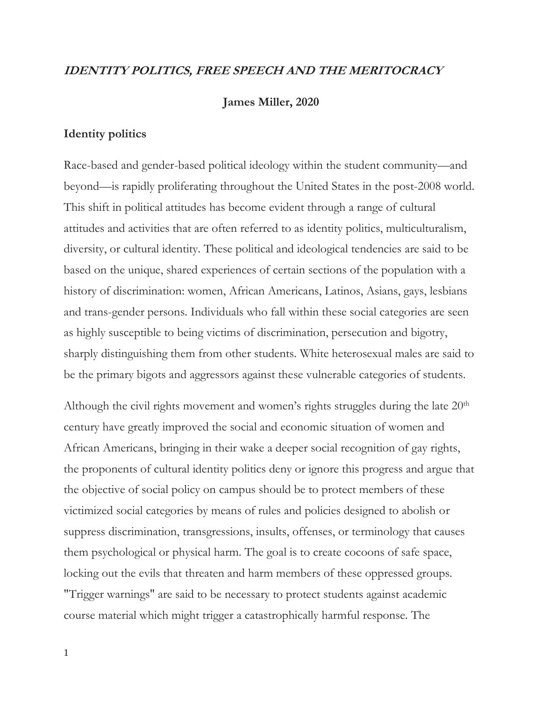### **IDENTITY POLITICS, FREE SPEECH AND THE MERITOCRACY**

### **James Miller, 2020**

#### **Identity politics**

Race-based and gender-based political ideology within the student community—and beyond—is rapidly proliferating throughout the United States in the post-2008 world. This shift in political attitudes has become evident through a range of cultural attitudes and activities that are often referred to as identity politics, multiculturalism, diversity, or cultural identity. These political and ideological tendencies are said to be based on the unique, shared experiences of certain sections of the population with a history of discrimination: women, African Americans, Latinos, Asians, gays, lesbians and trans-gender persons. Individuals who fall within these social categories are seen as highly susceptible to being victims of discrimination, persecution and bigotry, sharply distinguishing them from other students. White heterosexual males are said to be the primary bigots and aggressors against these vulnerable categories of students.

Although the civil rights movement and women's rights struggles during the late  $20<sup>th</sup>$ century have greatly improved the social and economic situation of women and African Americans, bringing in their wake a deeper social recognition of gay rights, the proponents of cultural identity politics deny or ignore this progress and argue that the objective of social policy on campus should be to protect members of these victimized social categories by means of rules and policies designed to abolish or suppress discrimination, transgressions, insults, offenses, or terminology that causes them psychological or physical harm. The goal is to create cocoons of safe space, locking out the evils that threaten and harm members of these oppressed groups. "Trigger warnings" are said to be necessary to protect students against academic course material which might trigger a catastrophically harmful response. The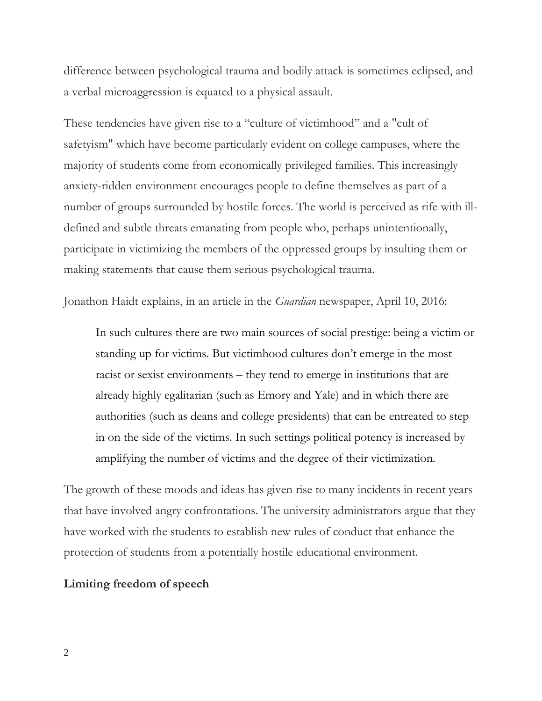difference between psychological trauma and bodily attack is sometimes eclipsed, and a verbal microaggression is equated to a physical assault.

These tendencies have given rise to a "culture of victimhood" and a "cult of safetyism" which have become particularly evident on college campuses, where the majority of students come from economically privileged families. This increasingly anxiety-ridden environment encourages people to define themselves as part of a number of groups surrounded by hostile forces. The world is perceived as rife with illdefined and subtle threats emanating from people who, perhaps unintentionally, participate in victimizing the members of the oppressed groups by insulting them or making statements that cause them serious psychological trauma.

Jonathon Haidt explains, in an article in the *Guardian* newspaper, April 10, 2016:

In such cultures there are two main sources of social prestige: being a victim or standing up for victims. But victimhood cultures don't emerge in the most racist or sexist environments – they tend to emerge in institutions that are already highly egalitarian (such as Emory and Yale) and in which there are authorities (such as deans and college presidents) that can be entreated to step in on the side of the victims. In such settings political potency is increased by amplifying the number of victims and the degree of their victimization.

The growth of these moods and ideas has given rise to many incidents in recent years that have involved angry confrontations. The university administrators argue that they have worked with the students to establish new rules of conduct that enhance the protection of students from a potentially hostile educational environment.

### **Limiting freedom of speech**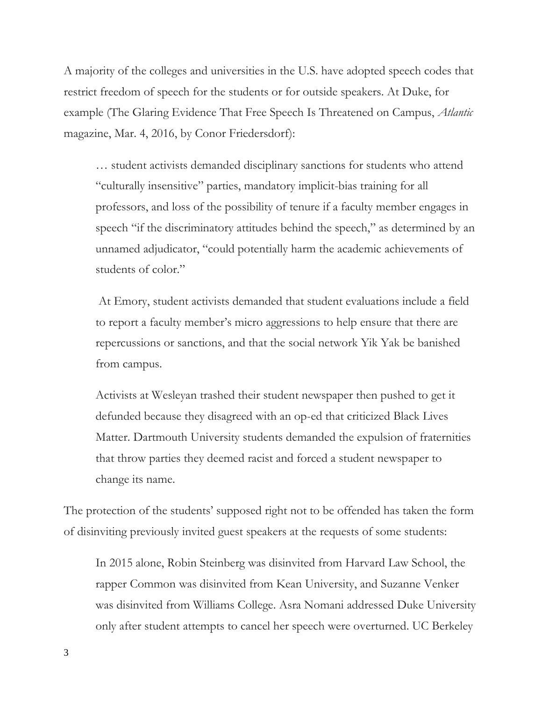A majority of the colleges and universities in the U.S. have adopted speech codes that restrict freedom of speech for the students or for outside speakers. At Duke, for example (The Glaring Evidence That Free Speech Is Threatened on Campus, *Atlantic*  magazine, Mar. 4, 2016, by Conor Friedersdorf):

… student activists demanded disciplinary sanctions for students who attend "culturally insensitive" parties, mandatory implicit-bias training for all professors, and loss of the possibility of tenure if a faculty member engages in speech "if the discriminatory attitudes behind the speech," as determined by an unnamed adjudicator, "could potentially harm the academic achievements of students of color."

At Emory, student activists demanded that student evaluations include a field to report a faculty member's micro aggressions to help ensure that there are repercussions or sanctions, and that the social network Yik Yak be banished from campus.

Activists at Wesleyan trashed their student newspaper then pushed to get it defunded because they disagreed with an op-ed that criticized Black Lives Matter. Dartmouth University students demanded the expulsion of fraternities that throw parties they deemed racist and forced a student newspaper to change its name.

The protection of the students' supposed right not to be offended has taken the form of disinviting previously invited guest speakers at the requests of some students:

In 2015 alone, Robin Steinberg was disinvited from Harvard Law School, the rapper Common was disinvited from Kean University, and Suzanne Venker was disinvited from Williams College. Asra Nomani addressed Duke University only after student attempts to cancel her speech were overturned. UC Berkeley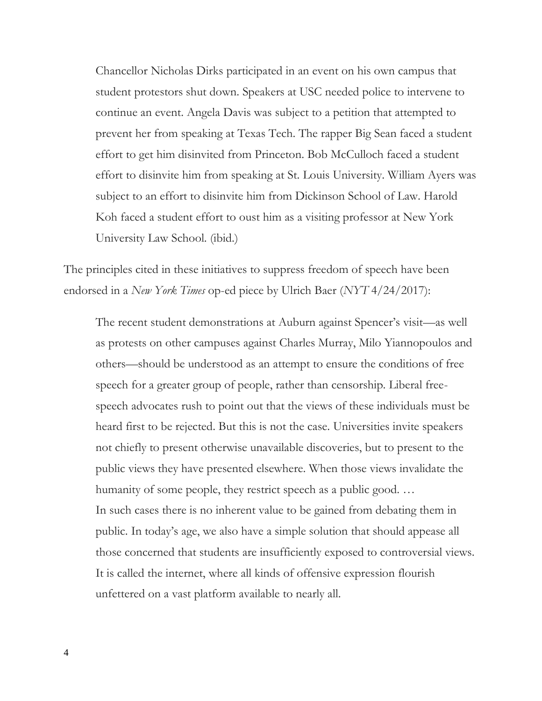Chancellor Nicholas Dirks participated in an event on his own campus that student protestors shut down. Speakers at USC needed police to intervene to continue an event. Angela Davis was subject to a petition that attempted to prevent her from speaking at Texas Tech. The rapper Big Sean faced a student effort to get him disinvited from Princeton. Bob McCulloch faced a student effort to disinvite him from speaking at St. Louis University. William Ayers was subject to an effort to disinvite him from Dickinson School of Law. Harold Koh faced a student effort to oust him as a visiting professor at New York University Law School. (ibid.)

The principles cited in these initiatives to suppress freedom of speech have been endorsed in a *New York Times* op-ed piece by Ulrich Baer (*NYT* 4/24/2017):

The recent student demonstrations at Auburn against Spencer's visit—as well as protests on other campuses against Charles Murray, Milo Yiannopoulos and others—should be understood as an attempt to ensure the conditions of free speech for a greater group of people, rather than censorship. Liberal freespeech advocates rush to point out that the views of these individuals must be heard first to be rejected. But this is not the case. Universities invite speakers not chiefly to present otherwise unavailable discoveries, but to present to the public views they have presented elsewhere. When those views invalidate the humanity of some people, they restrict speech as a public good. ... In such cases there is no inherent value to be gained from debating them in public. In today's age, we also have a simple solution that should appease all those concerned that students are insufficiently exposed to controversial views. It is called the internet, where all kinds of offensive expression flourish unfettered on a vast platform available to nearly all.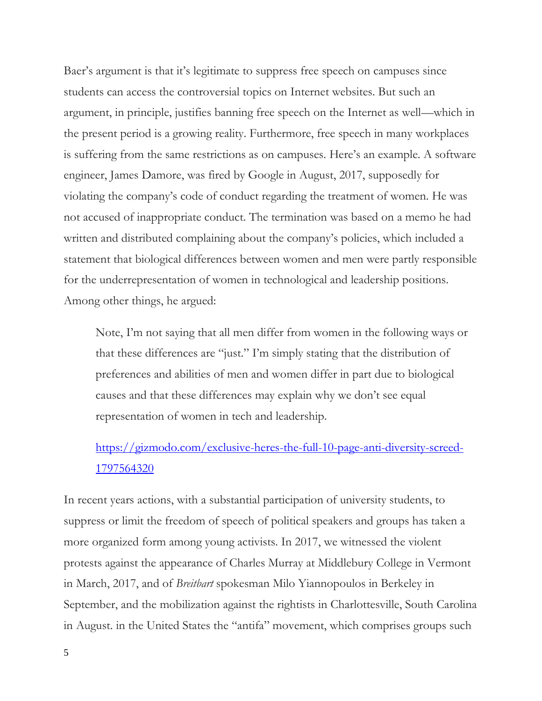Baer's argument is that it's legitimate to suppress free speech on campuses since students can access the controversial topics on Internet websites. But such an argument, in principle, justifies banning free speech on the Internet as well—which in the present period is a growing reality. Furthermore, free speech in many workplaces is suffering from the same restrictions as on campuses. Here's an example. A software engineer, James Damore, was fired by Google in August, 2017, supposedly for violating the company's code of conduct regarding the treatment of women. He was not accused of inappropriate conduct. The termination was based on a memo he had written and distributed complaining about the company's policies, which included a statement that biological differences between women and men were partly responsible for the underrepresentation of women in technological and leadership positions. Among other things, he argued:

Note, I'm not saying that all men differ from women in the following ways or that these differences are "just." I'm simply stating that the distribution of preferences and abilities of men and women differ in part due to biological causes and that these differences may explain why we don't see equal representation of women in tech and leadership.

# [https://gizmodo.com/exclusive-heres-the-full-10-page-anti-diversity-screed-](https://gizmodo.com/exclusive-heres-the-full-10-page-anti-diversity-screed-1797564320)[1797564320](https://gizmodo.com/exclusive-heres-the-full-10-page-anti-diversity-screed-1797564320)

In recent years actions, with a substantial participation of university students, to suppress or limit the freedom of speech of political speakers and groups has taken a more organized form among young activists. In 2017, we witnessed the violent protests against the appearance of Charles Murray at Middlebury College in Vermont in March, 2017, and of *Breitbart* spokesman Milo Yiannopoulos in Berkeley in September, and the mobilization against the rightists in Charlottesville, South Carolina in August. in the United States the "antifa" movement, which comprises groups such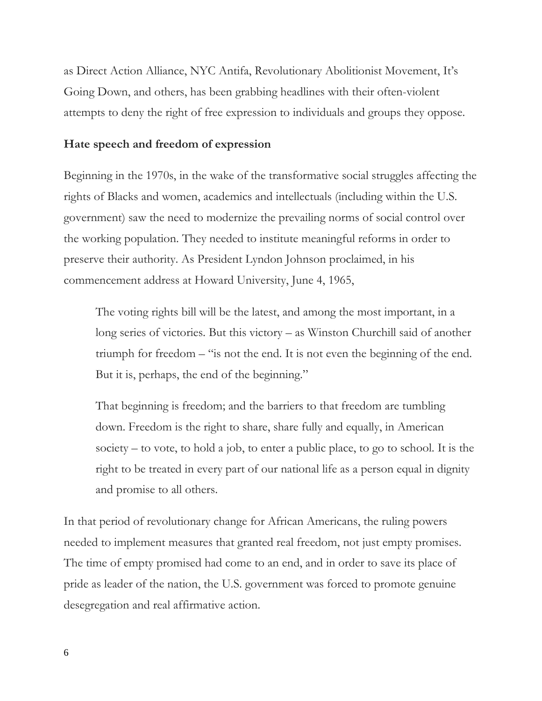as Direct Action Alliance, NYC Antifa, Revolutionary Abolitionist Movement, It's Going Down, and others, has been grabbing headlines with their often-violent attempts to deny the right of free expression to individuals and groups they oppose.

#### **Hate speech and freedom of expression**

Beginning in the 1970s, in the wake of the transformative social struggles affecting the rights of Blacks and women, academics and intellectuals (including within the U.S. government) saw the need to modernize the prevailing norms of social control over the working population. They needed to institute meaningful reforms in order to preserve their authority. As President Lyndon Johnson proclaimed, in his commencement address at Howard University, June 4, 1965,

The voting rights bill will be the latest, and among the most important, in a long series of victories. But this victory – as Winston Churchill said of another triumph for freedom – "is not the end. It is not even the beginning of the end. But it is, perhaps, the end of the beginning."

That beginning is freedom; and the barriers to that freedom are tumbling down. Freedom is the right to share, share fully and equally, in American society – to vote, to hold a job, to enter a public place, to go to school. It is the right to be treated in every part of our national life as a person equal in dignity and promise to all others.

In that period of revolutionary change for African Americans, the ruling powers needed to implement measures that granted real freedom, not just empty promises. The time of empty promised had come to an end, and in order to save its place of pride as leader of the nation, the U.S. government was forced to promote genuine desegregation and real affirmative action.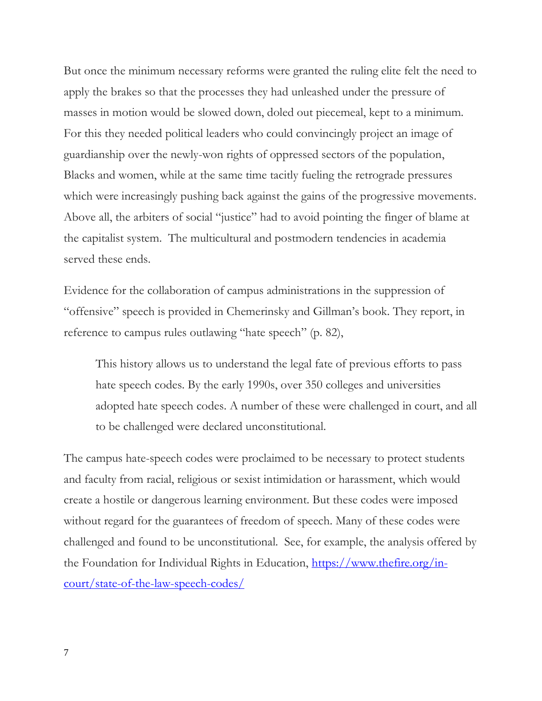But once the minimum necessary reforms were granted the ruling elite felt the need to apply the brakes so that the processes they had unleashed under the pressure of masses in motion would be slowed down, doled out piecemeal, kept to a minimum. For this they needed political leaders who could convincingly project an image of guardianship over the newly-won rights of oppressed sectors of the population, Blacks and women, while at the same time tacitly fueling the retrograde pressures which were increasingly pushing back against the gains of the progressive movements. Above all, the arbiters of social "justice" had to avoid pointing the finger of blame at the capitalist system. The multicultural and postmodern tendencies in academia served these ends.

Evidence for the collaboration of campus administrations in the suppression of "offensive" speech is provided in Chemerinsky and Gillman's book. They report, in reference to campus rules outlawing "hate speech" (p. 82),

This history allows us to understand the legal fate of previous efforts to pass hate speech codes. By the early 1990s, over 350 colleges and universities adopted hate speech codes. A number of these were challenged in court, and all to be challenged were declared unconstitutional.

The campus hate-speech codes were proclaimed to be necessary to protect students and faculty from racial, religious or sexist intimidation or harassment, which would create a hostile or dangerous learning environment. But these codes were imposed without regard for the guarantees of freedom of speech. Many of these codes were challenged and found to be unconstitutional. See, for example, the analysis offered by the Foundation for Individual Rights in Education, [https://www.thefire.org/in](https://www.thefire.org/in-court/state-of-the-law-speech-codes/)[court/state-of-the-law-speech-codes/](https://www.thefire.org/in-court/state-of-the-law-speech-codes/)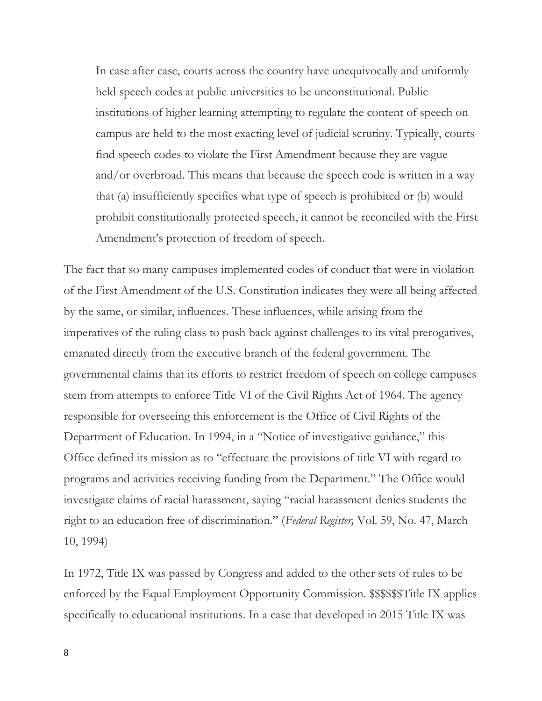In case after case, courts across the country have unequivocally and uniformly held speech codes at public universities to be unconstitutional. Public institutions of higher learning attempting to regulate the content of speech on campus are held to the most exacting level of judicial scrutiny. Typically, courts find speech codes to violate the First Amendment because they are vague and/or overbroad. This means that because the speech code is written in a way that (a) insufficiently specifies what type of speech is prohibited or (b) would prohibit constitutionally protected speech, it cannot be reconciled with the First Amendment's protection of freedom of speech.

The fact that so many campuses implemented codes of conduct that were in violation of the First Amendment of the U.S. Constitution indicates they were all being affected by the same, or similar, influences. These influences, while arising from the imperatives of the ruling class to push back against challenges to its vital prerogatives, emanated directly from the executive branch of the federal government. The governmental claims that its efforts to restrict freedom of speech on college campuses stem from attempts to enforce Title VI of the Civil Rights Act of 1964. The agency responsible for overseeing this enforcement is the Office of Civil Rights of the Department of Education. In 1994, in a "Notice of investigative guidance," this Office defined its mission as to "effectuate the provisions of title VI with regard to programs and activities receiving funding from the Department." The Office would investigate claims of racial harassment, saying "racial harassment denies students the right to an education free of discrimination." (*Federal Register,* Vol. 59, No. 47, March 10, 1994)

In 1972, Title IX was passed by Congress and added to the other sets of rules to be enforced by the Equal Employment Opportunity Commission. \$\$\$\$\$\$Title IX applies specifically to educational institutions. In a case that developed in 2015 Title IX was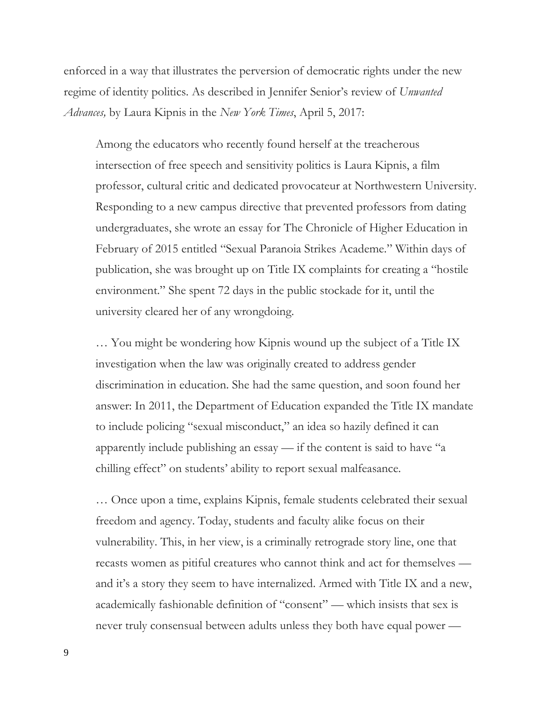enforced in a way that illustrates the perversion of democratic rights under the new regime of identity politics. As described in Jennifer Senior's review of *Unwanted Advances,* by Laura Kipnis in the *New York Times*, April 5, 2017:

Among the educators who recently found herself at the treacherous intersection of free speech and sensitivity politics is Laura Kipnis, a film professor, cultural critic and dedicated provocateur at Northwestern University. Responding to a new campus directive that prevented professors from dating undergraduates, she wrote an essay for The Chronicle of Higher Education in February of 2015 entitled "Sexual Paranoia Strikes Academe." Within days of publication, she was brought up on Title IX complaints for creating a "hostile environment." She spent 72 days in the public stockade for it, until the university cleared her of any wrongdoing.

… You might be wondering how Kipnis wound up the subject of a Title IX investigation when the law was originally created to address gender discrimination in education. She had the same question, and soon found her answer: In 2011, the Department of Education expanded the Title IX mandate to include policing "sexual misconduct," an idea so hazily defined it can apparently include publishing an essay — if the content is said to have "a chilling effect" on students' ability to report sexual malfeasance.

… Once upon a time, explains Kipnis, female students celebrated their sexual freedom and agency. Today, students and faculty alike focus on their vulnerability. This, in her view, is a criminally retrograde story line, one that recasts women as pitiful creatures who cannot think and act for themselves and it's a story they seem to have internalized. Armed with Title IX and a new, academically fashionable definition of "consent" — which insists that sex is never truly consensual between adults unless they both have equal power —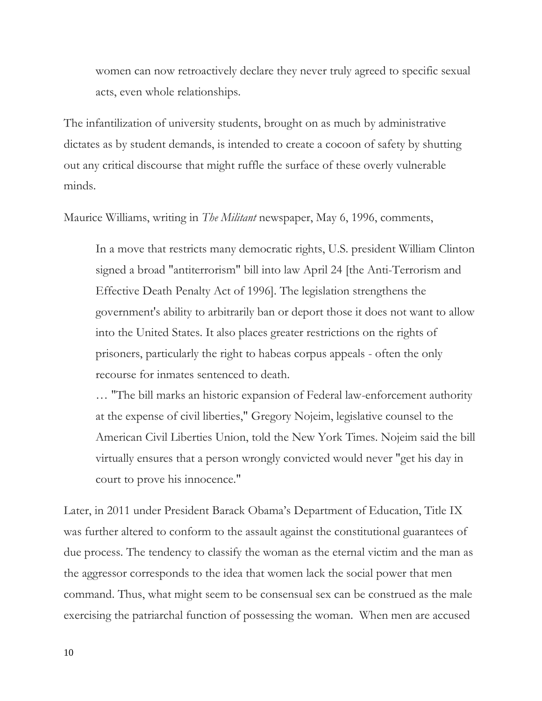women can now retroactively declare they never truly agreed to specific sexual acts, even whole relationships.

The infantilization of university students, brought on as much by administrative dictates as by student demands, is intended to create a cocoon of safety by shutting out any critical discourse that might ruffle the surface of these overly vulnerable minds.

Maurice Williams, writing in *The Militant* newspaper, May 6, 1996, comments,

In a move that restricts many democratic rights, U.S. president William Clinton signed a broad "antiterrorism" bill into law April 24 [the Anti-Terrorism and Effective Death Penalty Act of 1996]. The legislation strengthens the government's ability to arbitrarily ban or deport those it does not want to allow into the United States. It also places greater restrictions on the rights of prisoners, particularly the right to habeas corpus appeals - often the only recourse for inmates sentenced to death.

… "The bill marks an historic expansion of Federal law-enforcement authority at the expense of civil liberties," Gregory Nojeim, legislative counsel to the American Civil Liberties Union, told the New York Times. Nojeim said the bill virtually ensures that a person wrongly convicted would never "get his day in court to prove his innocence."

Later, in 2011 under President Barack Obama's Department of Education, Title IX was further altered to conform to the assault against the constitutional guarantees of due process. The tendency to classify the woman as the eternal victim and the man as the aggressor corresponds to the idea that women lack the social power that men command. Thus, what might seem to be consensual sex can be construed as the male exercising the patriarchal function of possessing the woman. When men are accused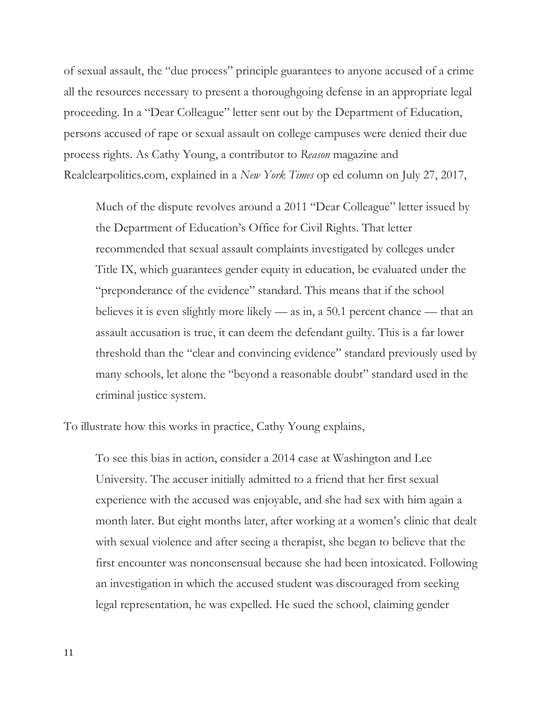of sexual assault, the "due process" principle guarantees to anyone accused of a crime all the resources necessary to present a thoroughgoing defense in an appropriate legal proceeding. In a "Dear Colleague" letter sent out by the Department of Education, persons accused of rape or sexual assault on college campuses were denied their due process rights. As Cathy Young, a contributor to *Reason* magazine and Realclearpolitics.com, explained in a *New York Times* op ed column on July 27, 2017,

Much of the dispute revolves around a 2011 "Dear Colleague" letter issued by the Department of Education's Office for Civil Rights. That letter recommended that sexual assault complaints investigated by colleges under Title IX, which guarantees gender equity in education, be evaluated under the "preponderance of the evidence" standard. This means that if the school believes it is even slightly more likely — as in, a 50.1 percent chance — that an assault accusation is true, it can deem the defendant guilty. This is a far lower threshold than the "clear and convincing evidence" standard previously used by many schools, let alone the "beyond a reasonable doubt" standard used in the criminal justice system.

To illustrate how this works in practice, Cathy Young explains,

To see this bias in action, consider a 2014 case at Washington and Lee University. The accuser initially admitted to a friend that her first sexual experience with the accused was enjoyable, and she had sex with him again a month later. But eight months later, after working at a women's clinic that dealt with sexual violence and after seeing a therapist, she began to believe that the first encounter was nonconsensual because she had been intoxicated. Following an investigation in which the accused student was discouraged from seeking legal representation, he was expelled. He sued the school, claiming gender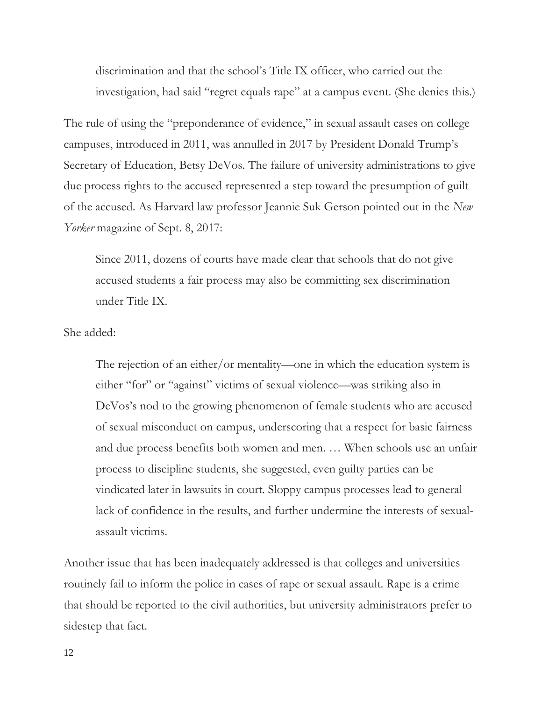discrimination and that the school's Title IX officer, who carried out the investigation, had said "regret equals rape" at a campus event. (She denies this.)

The rule of using the "preponderance of evidence," in sexual assault cases on college campuses, introduced in 2011, was annulled in 2017 by President Donald Trump's Secretary of Education, Betsy DeVos. The failure of university administrations to give due process rights to the accused represented a step toward the presumption of guilt of the accused. As Harvard law professor Jeannie Suk Gerson pointed out in the *New Yorker* magazine of Sept. 8, 2017:

Since 2011, dozens of courts have made clear that schools that do not give accused students a fair process may also be committing sex discrimination under Title IX.

She added:

The rejection of an either/or mentality—one in which the education system is either "for" or "against" victims of sexual violence—was striking also in DeVos's nod to the growing phenomenon of female students who are accused of sexual misconduct on campus, underscoring that a respect for basic fairness and due process benefits both women and men. … When schools use an unfair process to discipline students, she suggested, even guilty parties can be vindicated later in lawsuits in court. Sloppy campus processes lead to general lack of confidence in the results, and further undermine the interests of sexualassault victims.

Another issue that has been inadequately addressed is that colleges and universities routinely fail to inform the police in cases of rape or sexual assault. Rape is a crime that should be reported to the civil authorities, but university administrators prefer to sidestep that fact.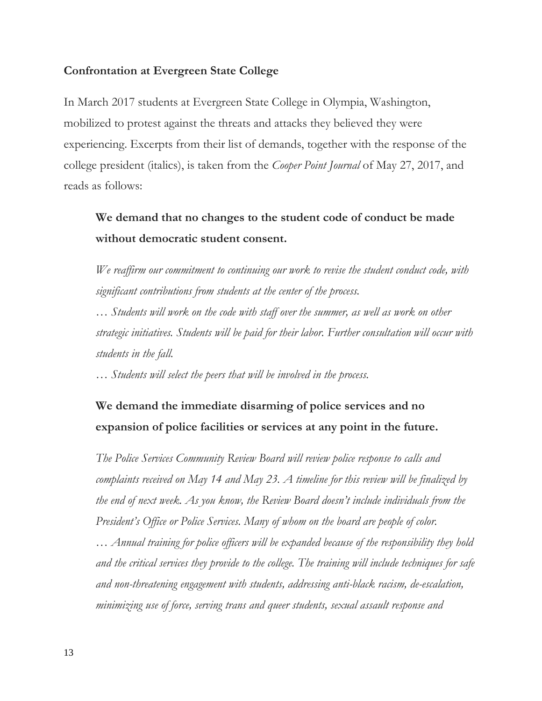## **Confrontation at Evergreen State College**

In March 2017 students at Evergreen State College in Olympia, Washington, mobilized to protest against the threats and attacks they believed they were experiencing. Excerpts from their list of demands, together with the response of the college president (italics), is taken from the *Cooper Point Journal* of May 27, 2017, and reads as follows:

## **We demand that no changes to the student code of conduct be made without democratic student consent.**

*We reaffirm our commitment to continuing our work to revise the student conduct code, with significant contributions from students at the center of the process.*

*… Students will work on the code with staff over the summer, as well as work on other strategic initiatives. Students will be paid for their labor. Further consultation will occur with students in the fall.*

*… Students will select the peers that will be involved in the process.*

# **We demand the immediate disarming of police services and no expansion of police facilities or services at any point in the future.**

*The Police Services Community Review Board will review police response to calls and complaints received on May 14 and May 23. A timeline for this review will be finalized by the end of next week. As you know, the Review Board doesn't include individuals from the President's Office or Police Services. Many of whom on the board are people of color. … Annual training for police officers will be expanded because of the responsibility they hold and the critical services they provide to the college. The training will include techniques for safe and non-threatening engagement with students, addressing anti-black racism, de-escalation, minimizing use of force, serving trans and queer students, sexual assault response and*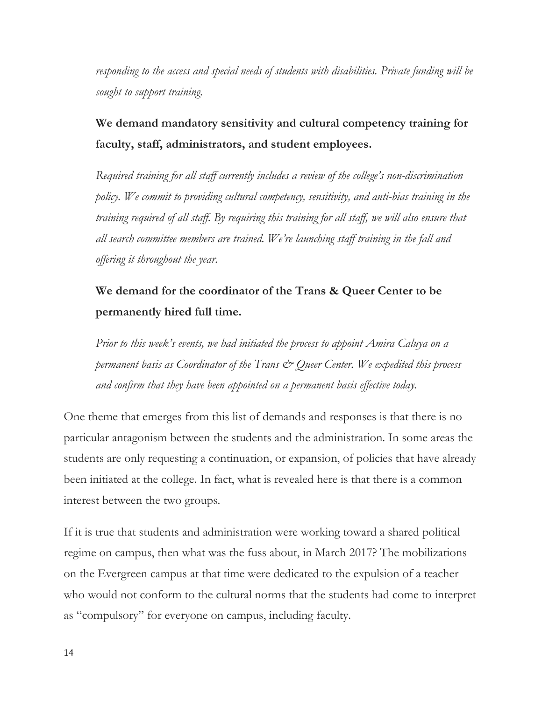*responding to the access and special needs of students with disabilities. Private funding will be sought to support training.*

# **We demand mandatory sensitivity and cultural competency training for faculty, staff, administrators, and student employees.**

*Required training for all staff currently includes a review of the college's non-discrimination policy. We commit to providing cultural competency, sensitivity, and anti-bias training in the training required of all staff. By requiring this training for all staff, we will also ensure that all search committee members are trained. We're launching staff training in the fall and offering it throughout the year.*

# **We demand for the coordinator of the Trans & Queer Center to be permanently hired full time.**

*Prior to this week's events, we had initiated the process to appoint Amira Caluya on a permanent basis as Coordinator of the Trans & Queer Center. We expedited this process and confirm that they have been appointed on a permanent basis effective today.*

One theme that emerges from this list of demands and responses is that there is no particular antagonism between the students and the administration. In some areas the students are only requesting a continuation, or expansion, of policies that have already been initiated at the college. In fact, what is revealed here is that there is a common interest between the two groups.

If it is true that students and administration were working toward a shared political regime on campus, then what was the fuss about, in March 2017? The mobilizations on the Evergreen campus at that time were dedicated to the expulsion of a teacher who would not conform to the cultural norms that the students had come to interpret as "compulsory" for everyone on campus, including faculty.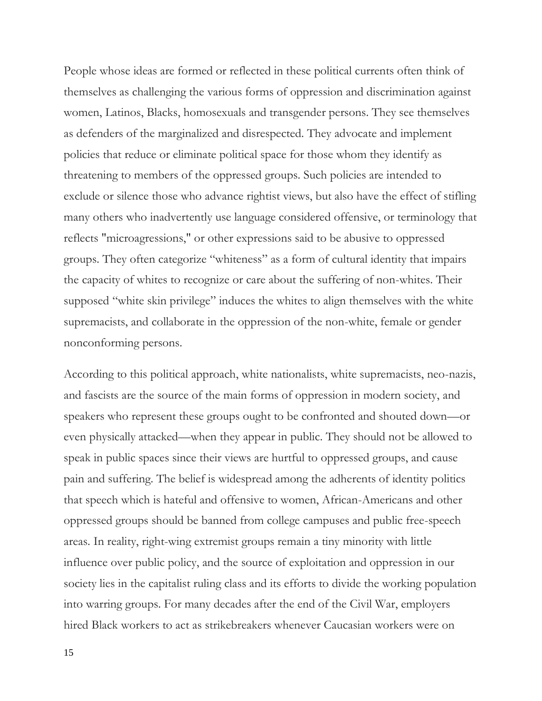People whose ideas are formed or reflected in these political currents often think of themselves as challenging the various forms of oppression and discrimination against women, Latinos, Blacks, homosexuals and transgender persons. They see themselves as defenders of the marginalized and disrespected. They advocate and implement policies that reduce or eliminate political space for those whom they identify as threatening to members of the oppressed groups. Such policies are intended to exclude or silence those who advance rightist views, but also have the effect of stifling many others who inadvertently use language considered offensive, or terminology that reflects "microagressions," or other expressions said to be abusive to oppressed groups. They often categorize "whiteness" as a form of cultural identity that impairs the capacity of whites to recognize or care about the suffering of non-whites. Their supposed "white skin privilege" induces the whites to align themselves with the white supremacists, and collaborate in the oppression of the non-white, female or gender nonconforming persons.

According to this political approach, white nationalists, white supremacists, neo-nazis, and fascists are the source of the main forms of oppression in modern society, and speakers who represent these groups ought to be confronted and shouted down—or even physically attacked—when they appear in public. They should not be allowed to speak in public spaces since their views are hurtful to oppressed groups, and cause pain and suffering. The belief is widespread among the adherents of identity politics that speech which is hateful and offensive to women, African-Americans and other oppressed groups should be banned from college campuses and public free-speech areas. In reality, right-wing extremist groups remain a tiny minority with little influence over public policy, and the source of exploitation and oppression in our society lies in the capitalist ruling class and its efforts to divide the working population into warring groups. For many decades after the end of the Civil War, employers hired Black workers to act as strikebreakers whenever Caucasian workers were on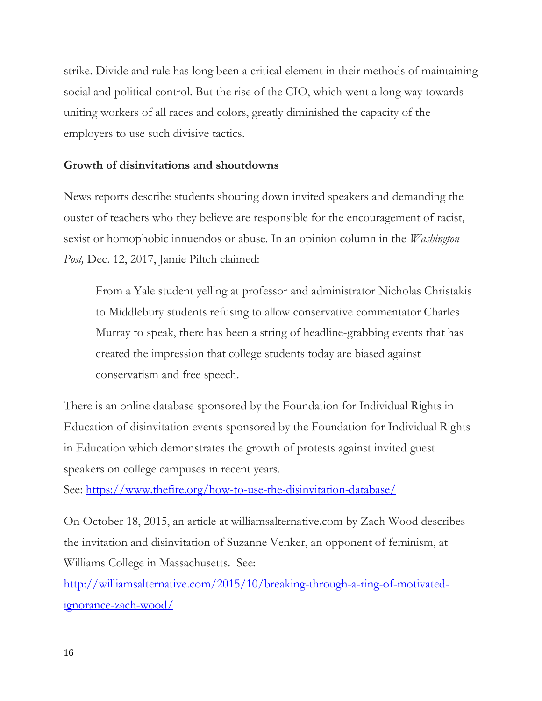strike. Divide and rule has long been a critical element in their methods of maintaining social and political control. But the rise of the CIO, which went a long way towards uniting workers of all races and colors, greatly diminished the capacity of the employers to use such divisive tactics.

## **Growth of disinvitations and shoutdowns**

News reports describe students shouting down invited speakers and demanding the ouster of teachers who they believe are responsible for the encouragement of racist, sexist or homophobic innuendos or abuse. In an opinion column in the *Washington Post,* Dec. 12, 2017, Jamie Piltch claimed:

From a Yale student yelling at professor and administrator Nicholas Christakis to Middlebury students refusing to allow conservative commentator Charles Murray to speak, there has been a string of headline-grabbing events that has created the impression that college students today are biased against conservatism and free speech.

There is an online database sponsored by the Foundation for Individual Rights in Education of disinvitation events sponsored by the Foundation for Individual Rights in Education which demonstrates the growth of protests against invited guest speakers on college campuses in recent years.

See:<https://www.thefire.org/how-to-use-the-disinvitation-database/>

On October 18, 2015, an article at williamsalternative.com by Zach Wood describes the invitation and disinvitation of Suzanne Venker, an opponent of feminism, at Williams College in Massachusetts. See:

[http://williamsalternative.com/2015/10/breaking-through-a-ring-of-motivated](http://williamsalternative.com/2015/10/breaking-through-a-ring-of-motivated-ignorance-zach-wood/)[ignorance-zach-wood/](http://williamsalternative.com/2015/10/breaking-through-a-ring-of-motivated-ignorance-zach-wood/)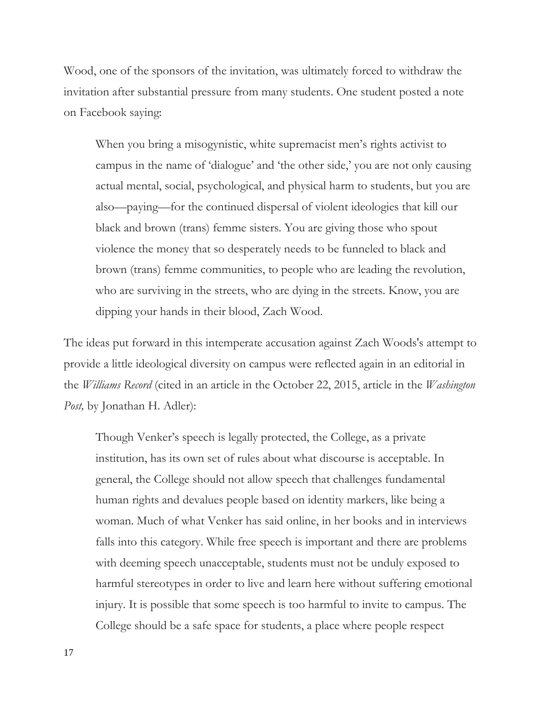Wood, one of the sponsors of the invitation, was ultimately forced to withdraw the invitation after substantial pressure from many students. One student posted a note on Facebook saying:

When you bring a misogynistic, white supremacist men's rights activist to campus in the name of 'dialogue' and 'the other side,' you are not only causing actual mental, social, psychological, and physical harm to students, but you are also—paying—for the continued dispersal of violent ideologies that kill our black and brown (trans) femme sisters. You are giving those who spout violence the money that so desperately needs to be funneled to black and brown (trans) femme communities, to people who are leading the revolution, who are surviving in the streets, who are dying in the streets. Know, you are dipping your hands in their blood, Zach Wood.

The ideas put forward in this intemperate accusation against Zach Woods's attempt to provide a little ideological diversity on campus were reflected again in an editorial in the *Williams Record* (cited in an article in the October 22, 2015, article in the *Washington Post,* by Jonathan H. Adler):

Though Venker's speech is legally protected, the College, as a private institution, has its own set of rules about what discourse is acceptable. In general, the College should not allow speech that challenges fundamental human rights and devalues people based on identity markers, like being a woman. Much of what Venker has said online, in her books and in interviews falls into this category. While free speech is important and there are problems with deeming speech unacceptable, students must not be unduly exposed to harmful stereotypes in order to live and learn here without suffering emotional injury. It is possible that some speech is too harmful to invite to campus. The College should be a safe space for students, a place where people respect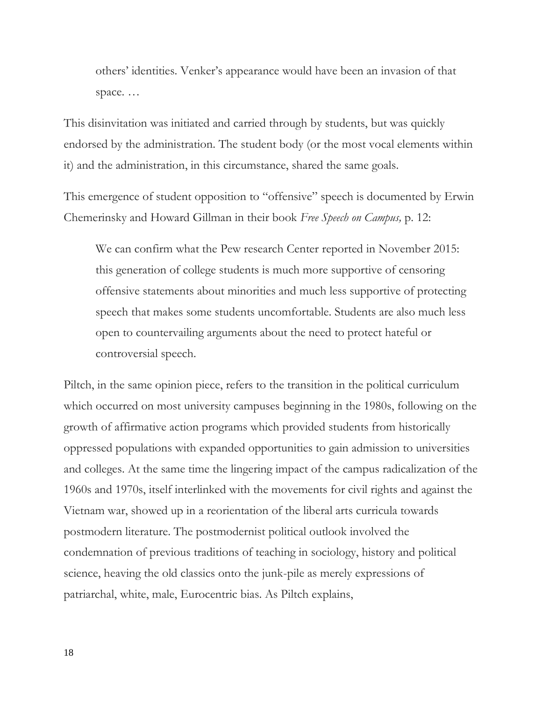others' identities. Venker's appearance would have been an invasion of that space. …

This disinvitation was initiated and carried through by students, but was quickly endorsed by the administration. The student body (or the most vocal elements within it) and the administration, in this circumstance, shared the same goals.

This emergence of student opposition to "offensive" speech is documented by Erwin Chemerinsky and Howard Gillman in their book *Free Speech on Campus,* p. 12:

We can confirm what the Pew research Center reported in November 2015: this generation of college students is much more supportive of censoring offensive statements about minorities and much less supportive of protecting speech that makes some students uncomfortable. Students are also much less open to countervailing arguments about the need to protect hateful or controversial speech.

Piltch, in the same opinion piece, refers to the transition in the political curriculum which occurred on most university campuses beginning in the 1980s, following on the growth of affirmative action programs which provided students from historically oppressed populations with expanded opportunities to gain admission to universities and colleges. At the same time the lingering impact of the campus radicalization of the 1960s and 1970s, itself interlinked with the movements for civil rights and against the Vietnam war, showed up in a reorientation of the liberal arts curricula towards postmodern literature. The postmodernist political outlook involved the condemnation of previous traditions of teaching in sociology, history and political science, heaving the old classics onto the junk-pile as merely expressions of patriarchal, white, male, Eurocentric bias. As Piltch explains,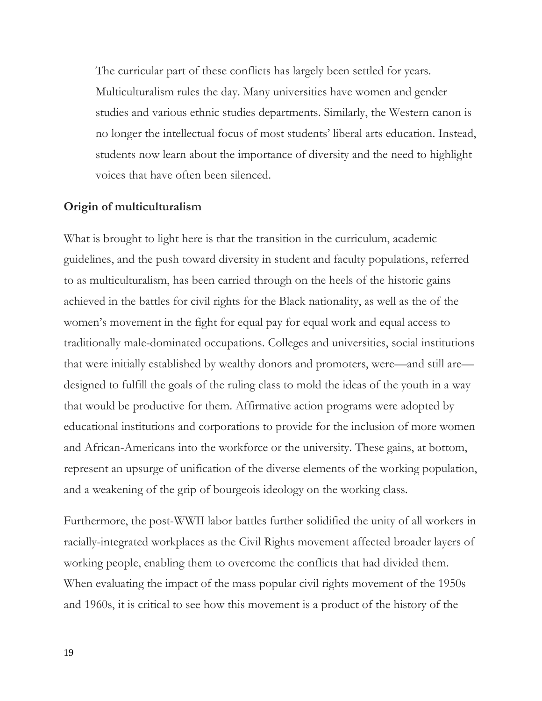The curricular part of these conflicts has largely been settled for years. Multiculturalism rules the day. Many universities have women and gender studies and various ethnic studies departments. Similarly, the Western canon is no longer the intellectual focus of most students' liberal arts education. Instead, students now learn about the importance of diversity and the need to highlight voices that have often been silenced.

#### **Origin of multiculturalism**

What is brought to light here is that the transition in the curriculum, academic guidelines, and the push toward diversity in student and faculty populations, referred to as multiculturalism, has been carried through on the heels of the historic gains achieved in the battles for civil rights for the Black nationality, as well as the of the women's movement in the fight for equal pay for equal work and equal access to traditionally male-dominated occupations. Colleges and universities, social institutions that were initially established by wealthy donors and promoters, were—and still are designed to fulfill the goals of the ruling class to mold the ideas of the youth in a way that would be productive for them. Affirmative action programs were adopted by educational institutions and corporations to provide for the inclusion of more women and African-Americans into the workforce or the university. These gains, at bottom, represent an upsurge of unification of the diverse elements of the working population, and a weakening of the grip of bourgeois ideology on the working class.

Furthermore, the post-WWII labor battles further solidified the unity of all workers in racially-integrated workplaces as the Civil Rights movement affected broader layers of working people, enabling them to overcome the conflicts that had divided them. When evaluating the impact of the mass popular civil rights movement of the 1950s and 1960s, it is critical to see how this movement is a product of the history of the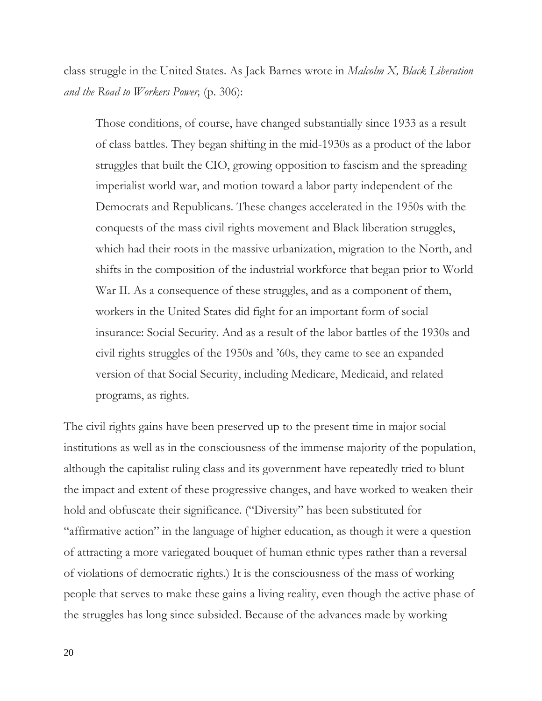class struggle in the United States. As Jack Barnes wrote in *Malcolm X, Black Liberation and the Road to Workers Power,* (p. 306):

Those conditions, of course, have changed substantially since 1933 as a result of class battles. They began shifting in the mid-1930s as a product of the labor struggles that built the CIO, growing opposition to fascism and the spreading imperialist world war, and motion toward a labor party independent of the Democrats and Republicans. These changes accelerated in the 1950s with the conquests of the mass civil rights movement and Black liberation struggles, which had their roots in the massive urbanization, migration to the North, and shifts in the composition of the industrial workforce that began prior to World War II. As a consequence of these struggles, and as a component of them, workers in the United States did fight for an important form of social insurance: Social Security. And as a result of the labor battles of the 1930s and civil rights struggles of the 1950s and '60s, they came to see an expanded version of that Social Security, including Medicare, Medicaid, and related programs, as rights.

The civil rights gains have been preserved up to the present time in major social institutions as well as in the consciousness of the immense majority of the population, although the capitalist ruling class and its government have repeatedly tried to blunt the impact and extent of these progressive changes, and have worked to weaken their hold and obfuscate their significance. ("Diversity" has been substituted for "affirmative action" in the language of higher education, as though it were a question of attracting a more variegated bouquet of human ethnic types rather than a reversal of violations of democratic rights.) It is the consciousness of the mass of working people that serves to make these gains a living reality, even though the active phase of the struggles has long since subsided. Because of the advances made by working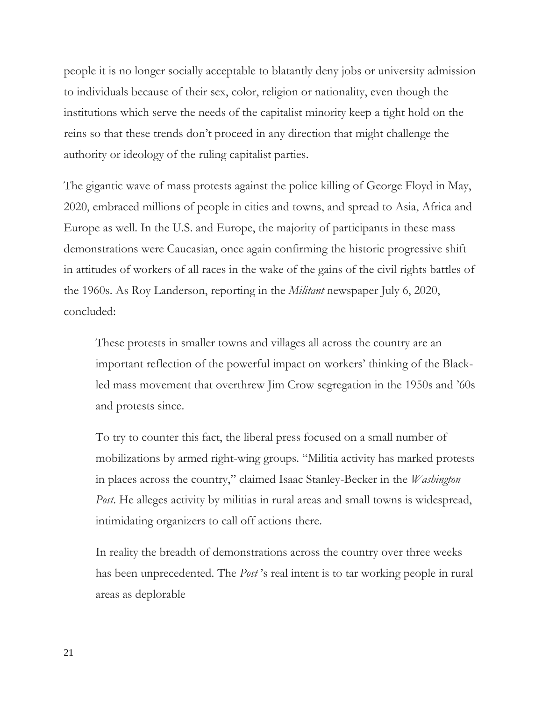people it is no longer socially acceptable to blatantly deny jobs or university admission to individuals because of their sex, color, religion or nationality, even though the institutions which serve the needs of the capitalist minority keep a tight hold on the reins so that these trends don't proceed in any direction that might challenge the authority or ideology of the ruling capitalist parties.

The gigantic wave of mass protests against the police killing of George Floyd in May, 2020, embraced millions of people in cities and towns, and spread to Asia, Africa and Europe as well. In the U.S. and Europe, the majority of participants in these mass demonstrations were Caucasian, once again confirming the historic progressive shift in attitudes of workers of all races in the wake of the gains of the civil rights battles of the 1960s. As Roy Landerson, reporting in the *Militant* newspaper July 6, 2020, concluded:

These protests in smaller towns and villages all across the country are an important reflection of the powerful impact on workers' thinking of the Blackled mass movement that overthrew Jim Crow segregation in the 1950s and '60s and protests since.

To try to counter this fact, the liberal press focused on a small number of mobilizations by armed right-wing groups. "Militia activity has marked protests in places across the country," claimed Isaac Stanley-Becker in the *Washington Post*. He alleges activity by militias in rural areas and small towns is widespread, intimidating organizers to call off actions there.

In reality the breadth of demonstrations across the country over three weeks has been unprecedented. The *Post* 's real intent is to tar working people in rural areas as deplorable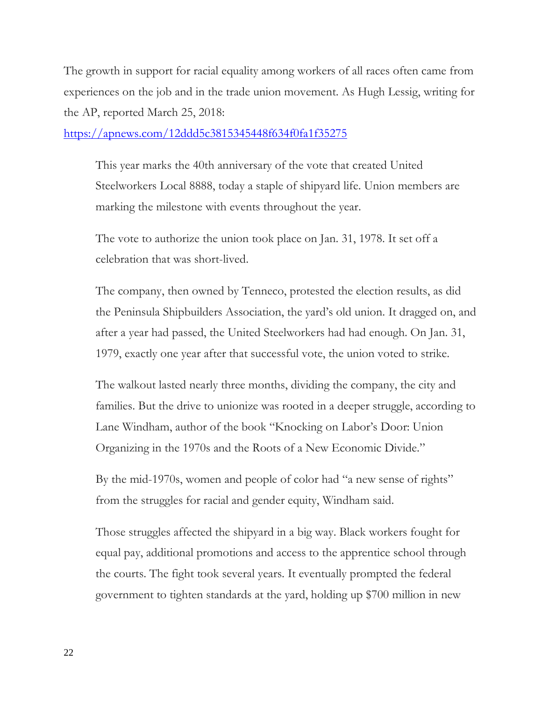The growth in support for racial equality among workers of all races often came from experiences on the job and in the trade union movement. As Hugh Lessig, writing for the AP, reported March 25, 2018:

<https://apnews.com/12ddd5c3815345448f634f0fa1f35275>

This year marks the 40th anniversary of the vote that created United Steelworkers Local 8888, today a staple of shipyard life. Union members are marking the milestone with events throughout the year.

The vote to authorize the union took place on Jan. 31, 1978. It set off a celebration that was short-lived.

The company, then owned by Tenneco, protested the election results, as did the Peninsula Shipbuilders Association, the yard's old union. It dragged on, and after a year had passed, the United Steelworkers had had enough. On Jan. 31, 1979, exactly one year after that successful vote, the union voted to strike.

The walkout lasted nearly three months, dividing the company, the city and families. But the drive to unionize was rooted in a deeper struggle, according to Lane Windham, author of the book "Knocking on Labor's Door: Union Organizing in the 1970s and the Roots of a New Economic Divide."

By the mid-1970s, women and people of color had "a new sense of rights" from the struggles for racial and gender equity, Windham said.

Those struggles affected the shipyard in a big way. Black workers fought for equal pay, additional promotions and access to the apprentice school through the courts. The fight took several years. It eventually prompted the federal government to tighten standards at the yard, holding up \$700 million in new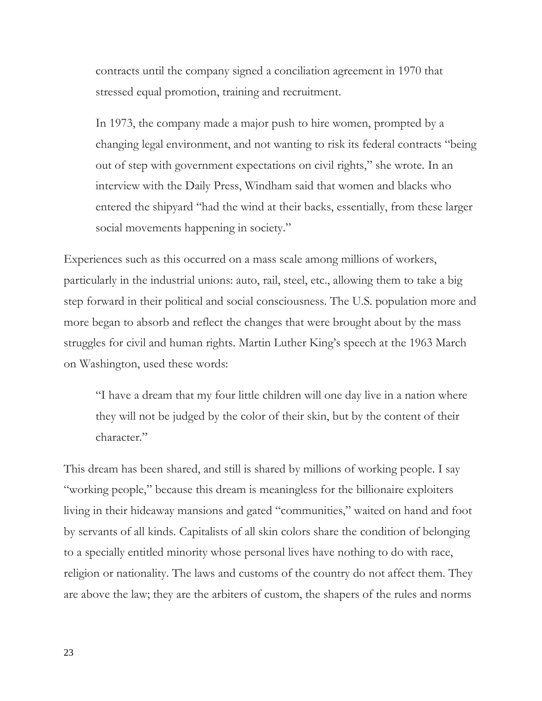contracts until the company signed a conciliation agreement in 1970 that stressed equal promotion, training and recruitment.

In 1973, the company made a major push to hire women, prompted by a changing legal environment, and not wanting to risk its federal contracts "being out of step with government expectations on civil rights," she wrote. In an interview with the Daily Press, Windham said that women and blacks who entered the shipyard "had the wind at their backs, essentially, from these larger social movements happening in society."

Experiences such as this occurred on a mass scale among millions of workers, particularly in the industrial unions: auto, rail, steel, etc., allowing them to take a big step forward in their political and social consciousness. The U.S. population more and more began to absorb and reflect the changes that were brought about by the mass struggles for civil and human rights. Martin Luther King's speech at the 1963 March on Washington, used these words:

"I have a dream that my four little children will one day live in a nation where they will not be judged by the color of their skin, but by the content of their character."

This dream has been shared, and still is shared by millions of working people. I say "working people," because this dream is meaningless for the billionaire exploiters living in their hideaway mansions and gated "communities," waited on hand and foot by servants of all kinds. Capitalists of all skin colors share the condition of belonging to a specially entitled minority whose personal lives have nothing to do with race, religion or nationality. The laws and customs of the country do not affect them. They are above the law; they are the arbiters of custom, the shapers of the rules and norms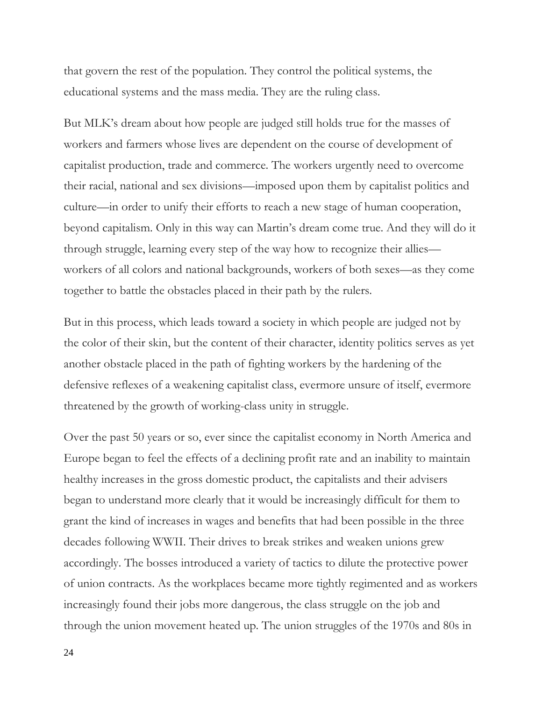that govern the rest of the population. They control the political systems, the educational systems and the mass media. They are the ruling class.

But MLK's dream about how people are judged still holds true for the masses of workers and farmers whose lives are dependent on the course of development of capitalist production, trade and commerce. The workers urgently need to overcome their racial, national and sex divisions—imposed upon them by capitalist politics and culture—in order to unify their efforts to reach a new stage of human cooperation, beyond capitalism. Only in this way can Martin's dream come true. And they will do it through struggle, learning every step of the way how to recognize their allies workers of all colors and national backgrounds, workers of both sexes—as they come together to battle the obstacles placed in their path by the rulers.

But in this process, which leads toward a society in which people are judged not by the color of their skin, but the content of their character, identity politics serves as yet another obstacle placed in the path of fighting workers by the hardening of the defensive reflexes of a weakening capitalist class, evermore unsure of itself, evermore threatened by the growth of working-class unity in struggle.

Over the past 50 years or so, ever since the capitalist economy in North America and Europe began to feel the effects of a declining profit rate and an inability to maintain healthy increases in the gross domestic product, the capitalists and their advisers began to understand more clearly that it would be increasingly difficult for them to grant the kind of increases in wages and benefits that had been possible in the three decades following WWII. Their drives to break strikes and weaken unions grew accordingly. The bosses introduced a variety of tactics to dilute the protective power of union contracts. As the workplaces became more tightly regimented and as workers increasingly found their jobs more dangerous, the class struggle on the job and through the union movement heated up. The union struggles of the 1970s and 80s in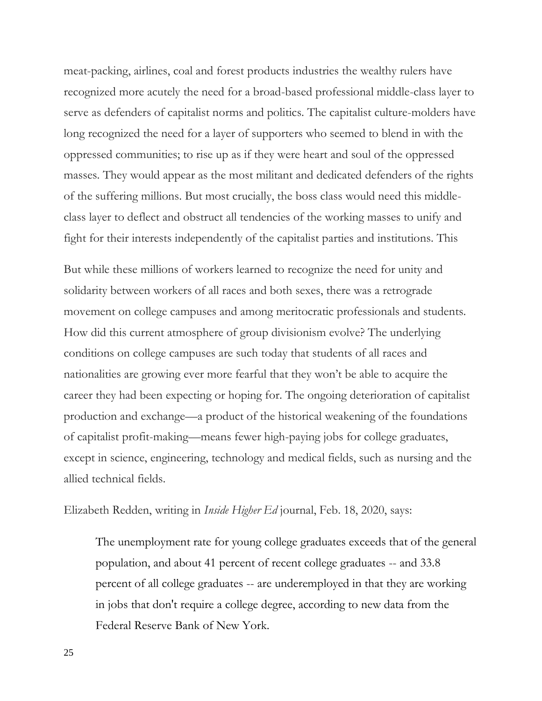meat-packing, airlines, coal and forest products industries the wealthy rulers have recognized more acutely the need for a broad-based professional middle-class layer to serve as defenders of capitalist norms and politics. The capitalist culture-molders have long recognized the need for a layer of supporters who seemed to blend in with the oppressed communities; to rise up as if they were heart and soul of the oppressed masses. They would appear as the most militant and dedicated defenders of the rights of the suffering millions. But most crucially, the boss class would need this middleclass layer to deflect and obstruct all tendencies of the working masses to unify and fight for their interests independently of the capitalist parties and institutions. This

But while these millions of workers learned to recognize the need for unity and solidarity between workers of all races and both sexes, there was a retrograde movement on college campuses and among meritocratic professionals and students. How did this current atmosphere of group divisionism evolve? The underlying conditions on college campuses are such today that students of all races and nationalities are growing ever more fearful that they won't be able to acquire the career they had been expecting or hoping for. The ongoing deterioration of capitalist production and exchange—a product of the historical weakening of the foundations of capitalist profit-making—means fewer high-paying jobs for college graduates, except in science, engineering, technology and medical fields, such as nursing and the allied technical fields.

### Elizabeth Redden, writing in *Inside Higher Ed* journal, Feb. 18, 2020, says:

The unemployment rate for young college graduates exceeds that of the general population, and about 41 percent of recent college graduates -- and 33.8 percent of all college graduates -- are underemployed in that they are working in jobs that don't require a college degree, according to new data from the Federal Reserve Bank of New York.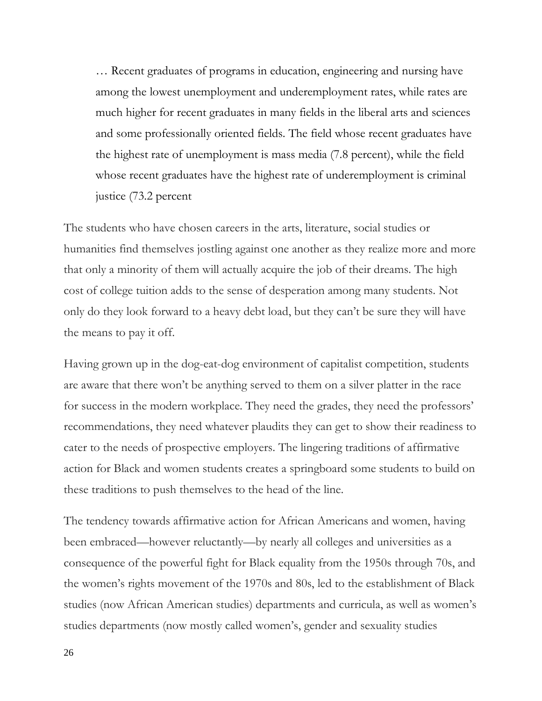… Recent graduates of programs in education, engineering and nursing have among the lowest unemployment and underemployment rates, while rates are much higher for recent graduates in many fields in the liberal arts and sciences and some professionally oriented fields. The field whose recent graduates have the highest rate of unemployment is mass media (7.8 percent), while the field whose recent graduates have the highest rate of underemployment is criminal justice (73.2 percent

The students who have chosen careers in the arts, literature, social studies or humanities find themselves jostling against one another as they realize more and more that only a minority of them will actually acquire the job of their dreams. The high cost of college tuition adds to the sense of desperation among many students. Not only do they look forward to a heavy debt load, but they can't be sure they will have the means to pay it off.

Having grown up in the dog-eat-dog environment of capitalist competition, students are aware that there won't be anything served to them on a silver platter in the race for success in the modern workplace. They need the grades, they need the professors' recommendations, they need whatever plaudits they can get to show their readiness to cater to the needs of prospective employers. The lingering traditions of affirmative action for Black and women students creates a springboard some students to build on these traditions to push themselves to the head of the line.

The tendency towards affirmative action for African Americans and women, having been embraced—however reluctantly—by nearly all colleges and universities as a consequence of the powerful fight for Black equality from the 1950s through 70s, and the women's rights movement of the 1970s and 80s, led to the establishment of Black studies (now African American studies) departments and curricula, as well as women's studies departments (now mostly called women's, gender and sexuality studies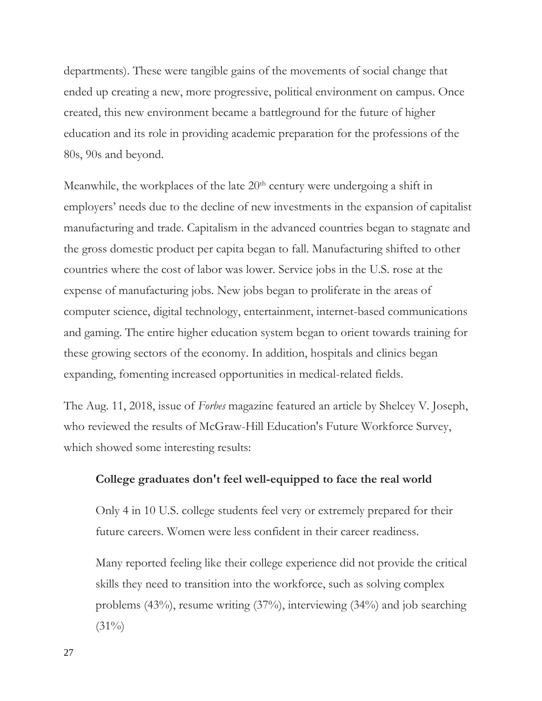departments). These were tangible gains of the movements of social change that ended up creating a new, more progressive, political environment on campus. Once created, this new environment became a battleground for the future of higher education and its role in providing academic preparation for the professions of the 80s, 90s and beyond.

Meanwhile, the workplaces of the late  $20<sup>th</sup>$  century were undergoing a shift in employers' needs due to the decline of new investments in the expansion of capitalist manufacturing and trade. Capitalism in the advanced countries began to stagnate and the gross domestic product per capita began to fall. Manufacturing shifted to other countries where the cost of labor was lower. Service jobs in the U.S. rose at the expense of manufacturing jobs. New jobs began to proliferate in the areas of computer science, digital technology, entertainment, internet-based communications and gaming. The entire higher education system began to orient towards training for these growing sectors of the economy. In addition, hospitals and clinics began expanding, fomenting increased opportunities in medical-related fields.

The Aug. 11, 2018, issue of *Forbes* magazine featured an article by Shelcey V. Joseph, who reviewed the results of McGraw-Hill Education's Future Workforce Survey, which showed some interesting results:

### **College graduates don't feel well-equipped to face the real world**

Only 4 in 10 U.S. college students feel very or extremely prepared for their future careers. Women were less confident in their career readiness.

Many reported feeling like their college experience did not provide the critical skills they need to transition into the workforce, such as solving complex problems (43%), resume writing (37%), interviewing (34%) and job searching  $(31\%)$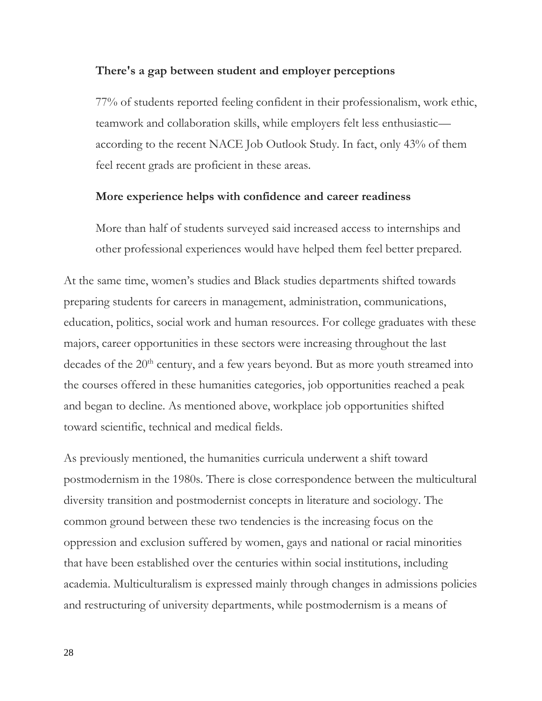## **There's a gap between student and employer perceptions**

77% of students reported feeling confident in their professionalism, work ethic, teamwork and collaboration skills, while employers felt less enthusiastic according to the recent NACE Job Outlook Study. In fact, only 43% of them feel recent grads are proficient in these areas.

### **More experience helps with confidence and career readiness**

More than half of students surveyed said increased access to internships and other professional experiences would have helped them feel better prepared.

At the same time, women's studies and Black studies departments shifted towards preparing students for careers in management, administration, communications, education, politics, social work and human resources. For college graduates with these majors, career opportunities in these sectors were increasing throughout the last decades of the 20<sup>th</sup> century, and a few years beyond. But as more youth streamed into the courses offered in these humanities categories, job opportunities reached a peak and began to decline. As mentioned above, workplace job opportunities shifted toward scientific, technical and medical fields.

As previously mentioned, the humanities curricula underwent a shift toward postmodernism in the 1980s. There is close correspondence between the multicultural diversity transition and postmodernist concepts in literature and sociology. The common ground between these two tendencies is the increasing focus on the oppression and exclusion suffered by women, gays and national or racial minorities that have been established over the centuries within social institutions, including academia. Multiculturalism is expressed mainly through changes in admissions policies and restructuring of university departments, while postmodernism is a means of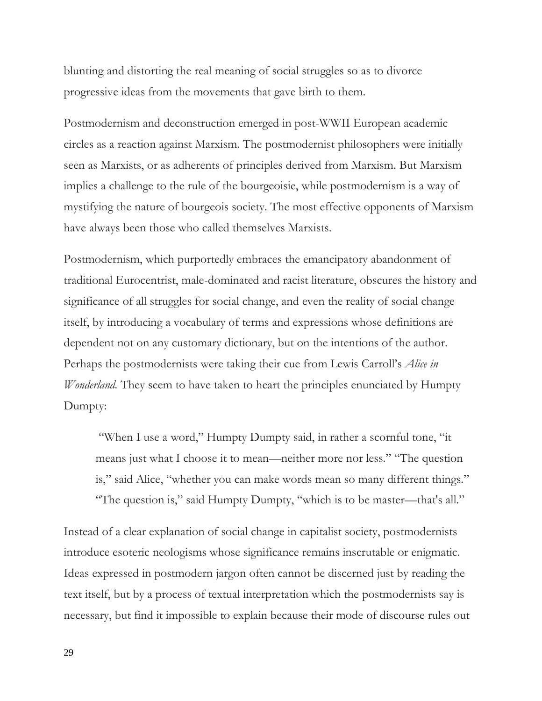blunting and distorting the real meaning of social struggles so as to divorce progressive ideas from the movements that gave birth to them.

Postmodernism and deconstruction emerged in post-WWII European academic circles as a reaction against Marxism. The postmodernist philosophers were initially seen as Marxists, or as adherents of principles derived from Marxism. But Marxism implies a challenge to the rule of the bourgeoisie, while postmodernism is a way of mystifying the nature of bourgeois society. The most effective opponents of Marxism have always been those who called themselves Marxists.

Postmodernism, which purportedly embraces the emancipatory abandonment of traditional Eurocentrist, male-dominated and racist literature, obscures the history and significance of all struggles for social change, and even the reality of social change itself, by introducing a vocabulary of terms and expressions whose definitions are dependent not on any customary dictionary, but on the intentions of the author. Perhaps the postmodernists were taking their cue from Lewis Carroll's *Alice in Wonderland.* They seem to have taken to heart the principles enunciated by Humpty Dumpty:

"When I use a word," Humpty Dumpty said, in rather a scornful tone, "it means just what I choose it to mean—neither more nor less." "The question is," said Alice, "whether you can make words mean so many different things." "The question is," said Humpty Dumpty, "which is to be master—that's all."

Instead of a clear explanation of social change in capitalist society, postmodernists introduce esoteric neologisms whose significance remains inscrutable or enigmatic. Ideas expressed in postmodern jargon often cannot be discerned just by reading the text itself, but by a process of textual interpretation which the postmodernists say is necessary, but find it impossible to explain because their mode of discourse rules out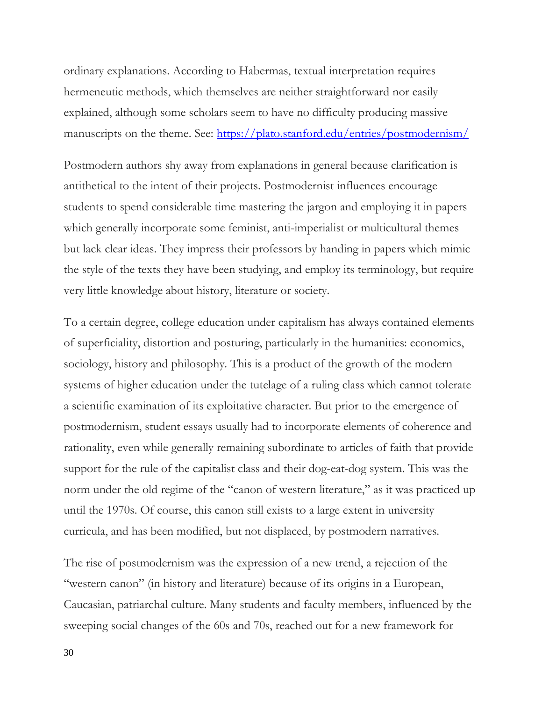ordinary explanations. According to Habermas, textual interpretation requires hermeneutic methods, which themselves are neither straightforward nor easily explained, although some scholars seem to have no difficulty producing massive manuscripts on the theme. See:<https://plato.stanford.edu/entries/postmodernism/>

Postmodern authors shy away from explanations in general because clarification is antithetical to the intent of their projects. Postmodernist influences encourage students to spend considerable time mastering the jargon and employing it in papers which generally incorporate some feminist, anti-imperialist or multicultural themes but lack clear ideas. They impress their professors by handing in papers which mimic the style of the texts they have been studying, and employ its terminology, but require very little knowledge about history, literature or society.

To a certain degree, college education under capitalism has always contained elements of superficiality, distortion and posturing, particularly in the humanities: economics, sociology, history and philosophy. This is a product of the growth of the modern systems of higher education under the tutelage of a ruling class which cannot tolerate a scientific examination of its exploitative character. But prior to the emergence of postmodernism, student essays usually had to incorporate elements of coherence and rationality, even while generally remaining subordinate to articles of faith that provide support for the rule of the capitalist class and their dog-eat-dog system. This was the norm under the old regime of the "canon of western literature," as it was practiced up until the 1970s. Of course, this canon still exists to a large extent in university curricula, and has been modified, but not displaced, by postmodern narratives.

The rise of postmodernism was the expression of a new trend, a rejection of the "western canon" (in history and literature) because of its origins in a European, Caucasian, patriarchal culture. Many students and faculty members, influenced by the sweeping social changes of the 60s and 70s, reached out for a new framework for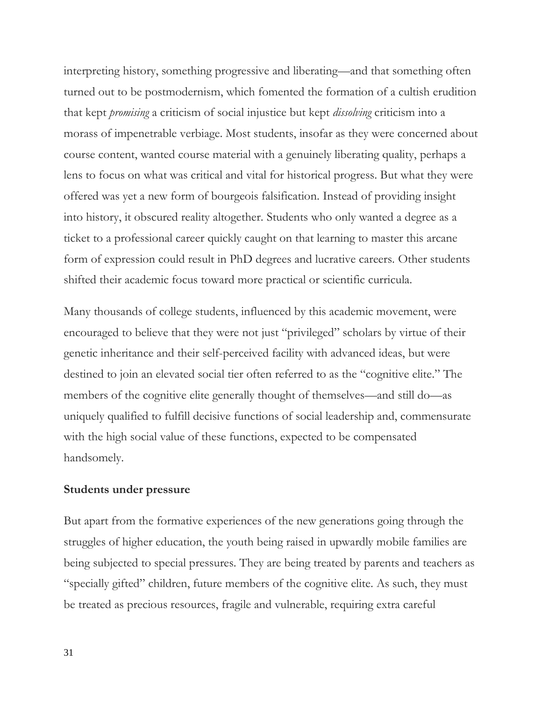interpreting history, something progressive and liberating—and that something often turned out to be postmodernism, which fomented the formation of a cultish erudition that kept *promising* a criticism of social injustice but kept *dissolving* criticism into a morass of impenetrable verbiage. Most students, insofar as they were concerned about course content, wanted course material with a genuinely liberating quality, perhaps a lens to focus on what was critical and vital for historical progress. But what they were offered was yet a new form of bourgeois falsification. Instead of providing insight into history, it obscured reality altogether. Students who only wanted a degree as a ticket to a professional career quickly caught on that learning to master this arcane form of expression could result in PhD degrees and lucrative careers. Other students shifted their academic focus toward more practical or scientific curricula.

Many thousands of college students, influenced by this academic movement, were encouraged to believe that they were not just "privileged" scholars by virtue of their genetic inheritance and their self-perceived facility with advanced ideas, but were destined to join an elevated social tier often referred to as the "cognitive elite." The members of the cognitive elite generally thought of themselves—and still do—as uniquely qualified to fulfill decisive functions of social leadership and, commensurate with the high social value of these functions, expected to be compensated handsomely.

#### **Students under pressure**

But apart from the formative experiences of the new generations going through the struggles of higher education, the youth being raised in upwardly mobile families are being subjected to special pressures. They are being treated by parents and teachers as "specially gifted" children, future members of the cognitive elite. As such, they must be treated as precious resources, fragile and vulnerable, requiring extra careful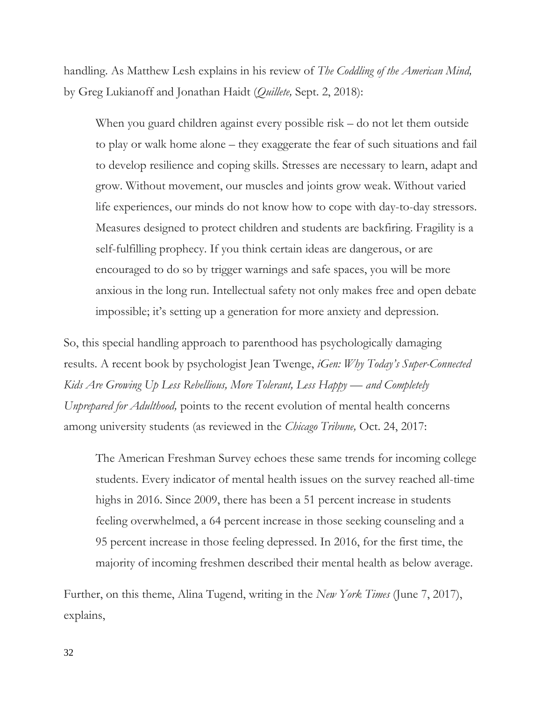handling. As Matthew Lesh explains in his review of *The Coddling of the American Mind,* by Greg Lukianoff and Jonathan Haidt (*Quillete,* Sept. 2, 2018):

When you guard children against every possible risk – do not let them outside to play or walk home alone – they exaggerate the fear of such situations and fail to develop resilience and coping skills. Stresses are necessary to learn, adapt and grow. Without movement, our muscles and joints grow weak. Without varied life experiences, our minds do not know how to cope with day-to-day stressors. Measures designed to protect children and students are backfiring. Fragility is a self-fulfilling prophecy. If you think certain ideas are dangerous, or are encouraged to do so by trigger warnings and safe spaces, you will be more anxious in the long run. Intellectual safety not only makes free and open debate impossible; it's setting up a generation for more anxiety and depression.

So, this special handling approach to parenthood has psychologically damaging results. A recent book by psychologist Jean Twenge, *iGen: Why Today's Super-Connected Kids Are Growing Up Less Rebellious, More Tolerant, Less Happy — and Completely Unprepared for Adulthood,* points to the recent evolution of mental health concerns among university students (as reviewed in the *Chicago Tribune,* Oct. 24, 2017:

The American Freshman Survey echoes these same trends for incoming college students. Every indicator of mental health issues on the survey reached all-time highs in 2016. Since 2009, there has been a 51 percent increase in students feeling overwhelmed, a 64 percent increase in those seeking counseling and a 95 percent increase in those feeling depressed. In 2016, for the first time, the majority of incoming freshmen described their mental health as below average.

Further, on this theme, Alina Tugend, writing in the *New York Times* (June 7, 2017), explains,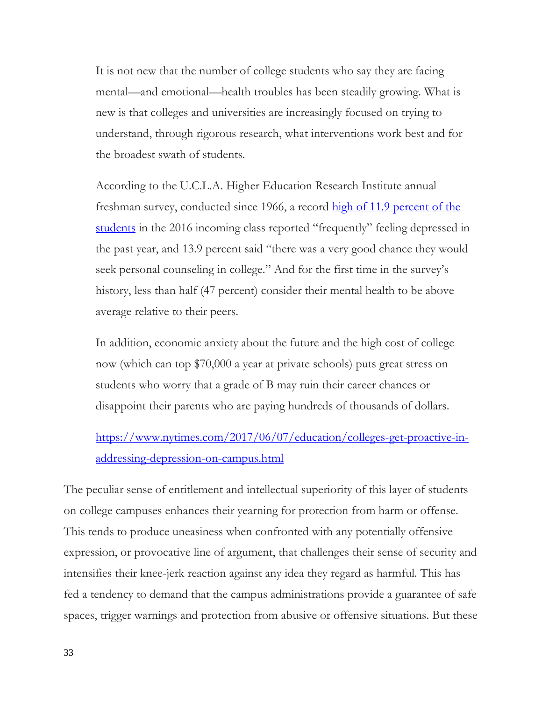It is not new that the number of college students who say they are facing mental—and emotional—health troubles has been steadily growing. What is new is that colleges and universities are increasingly focused on trying to understand, through rigorous research, what interventions work best and for the broadest swath of students.

According to the U.C.L.A. Higher Education Research Institute annual freshman survey, conducted since 1966, a record [high of 11.9 percent of the](https://heri.ucla.edu/press-release/TFS-2016-Press-Release.pdf)  [students](https://heri.ucla.edu/press-release/TFS-2016-Press-Release.pdf) in the 2016 incoming class reported "frequently" feeling depressed in the past year, and 13.9 percent said "there was a very good chance they would seek personal counseling in college." And for the first time in the survey's history, less than half (47 percent) consider their mental health to be above average relative to their peers.

In addition, economic anxiety about the future and the high cost of college now (which can top \$70,000 a year at private schools) puts great stress on students who worry that a grade of B may ruin their career chances or disappoint their parents who are paying hundreds of thousands of dollars.

## [https://www.nytimes.com/2017/06/07/education/colleges-get-proactive-in](https://www.nytimes.com/2017/06/07/education/colleges-get-proactive-in-addressing-depression-on-campus.html)[addressing-depression-on-campus.html](https://www.nytimes.com/2017/06/07/education/colleges-get-proactive-in-addressing-depression-on-campus.html)

The peculiar sense of entitlement and intellectual superiority of this layer of students on college campuses enhances their yearning for protection from harm or offense. This tends to produce uneasiness when confronted with any potentially offensive expression, or provocative line of argument, that challenges their sense of security and intensifies their knee-jerk reaction against any idea they regard as harmful. This has fed a tendency to demand that the campus administrations provide a guarantee of safe spaces, trigger warnings and protection from abusive or offensive situations. But these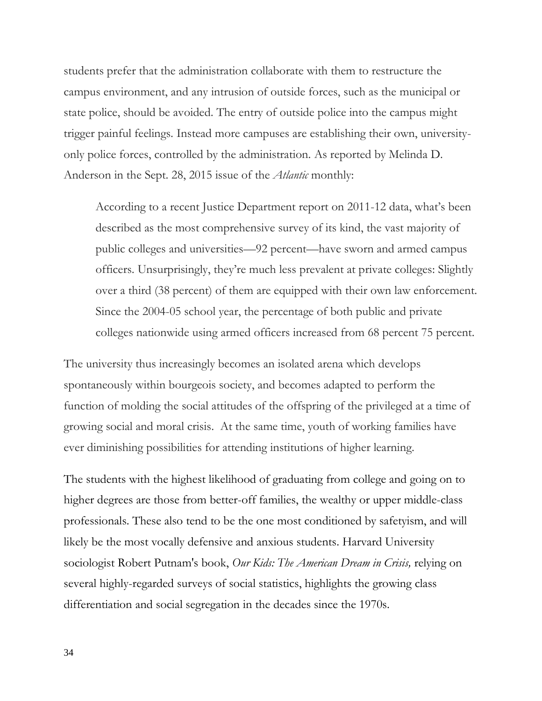students prefer that the administration collaborate with them to restructure the campus environment, and any intrusion of outside forces, such as the municipal or state police, should be avoided. The entry of outside police into the campus might trigger painful feelings. Instead more campuses are establishing their own, universityonly police forces, controlled by the administration. As reported by Melinda D. Anderson in the Sept. 28, 2015 issue of the *Atlantic* monthly:

According to a recent Justice Department report on 2011-12 data, what's been described as the most comprehensive survey of its kind, the vast majority of public colleges and universities—92 percent—have sworn and armed campus officers. Unsurprisingly, they're much less prevalent at private colleges: Slightly over a third (38 percent) of them are equipped with their own law enforcement. Since the 2004-05 school year, the percentage of both public and private colleges nationwide using armed officers increased from 68 percent 75 percent.

The university thus increasingly becomes an isolated arena which develops spontaneously within bourgeois society, and becomes adapted to perform the function of molding the social attitudes of the offspring of the privileged at a time of growing social and moral crisis. At the same time, youth of working families have ever diminishing possibilities for attending institutions of higher learning.

The students with the highest likelihood of graduating from college and going on to higher degrees are those from better-off families, the wealthy or upper middle-class professionals. These also tend to be the one most conditioned by safetyism, and will likely be the most vocally defensive and anxious students. Harvard University sociologist Robert Putnam's book, *Our Kids: The American Dream in Crisis,* relying on several highly-regarded surveys of social statistics, highlights the growing class differentiation and social segregation in the decades since the 1970s.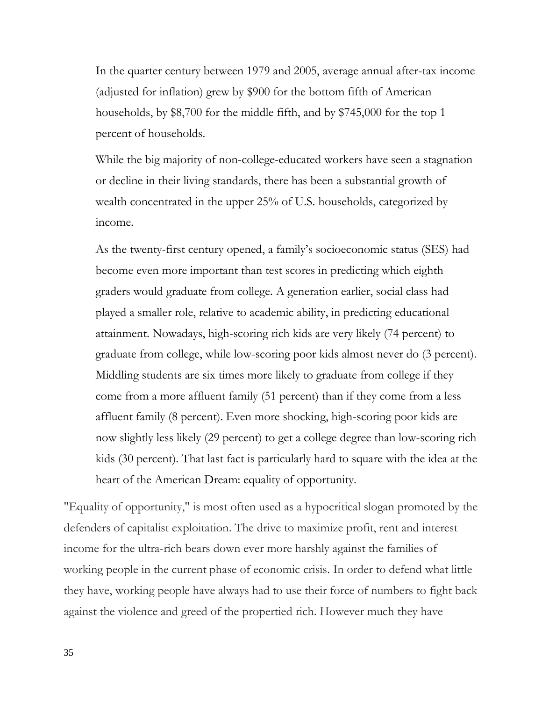In the quarter century between 1979 and 2005, average annual after-tax income (adjusted for inflation) grew by \$900 for the bottom fifth of American households, by \$8,700 for the middle fifth, and by \$745,000 for the top 1 percent of households.

While the big majority of non-college-educated workers have seen a stagnation or decline in their living standards, there has been a substantial growth of wealth concentrated in the upper 25% of U.S. households, categorized by income.

As the twenty-first century opened, a family's socioeconomic status (SES) had become even more important than test scores in predicting which eighth graders would graduate from college. A generation earlier, social class had played a smaller role, relative to academic ability, in predicting educational attainment. Nowadays, high-scoring rich kids are very likely (74 percent) to graduate from college, while low-scoring poor kids almost never do (3 percent). Middling students are six times more likely to graduate from college if they come from a more affluent family (51 percent) than if they come from a less affluent family (8 percent). Even more shocking, high-scoring poor kids are now slightly less likely (29 percent) to get a college degree than low-scoring rich kids (30 percent). That last fact is particularly hard to square with the idea at the heart of the American Dream: equality of opportunity.

"Equality of opportunity," is most often used as a hypocritical slogan promoted by the defenders of capitalist exploitation. The drive to maximize profit, rent and interest income for the ultra-rich bears down ever more harshly against the families of working people in the current phase of economic crisis. In order to defend what little they have, working people have always had to use their force of numbers to fight back against the violence and greed of the propertied rich. However much they have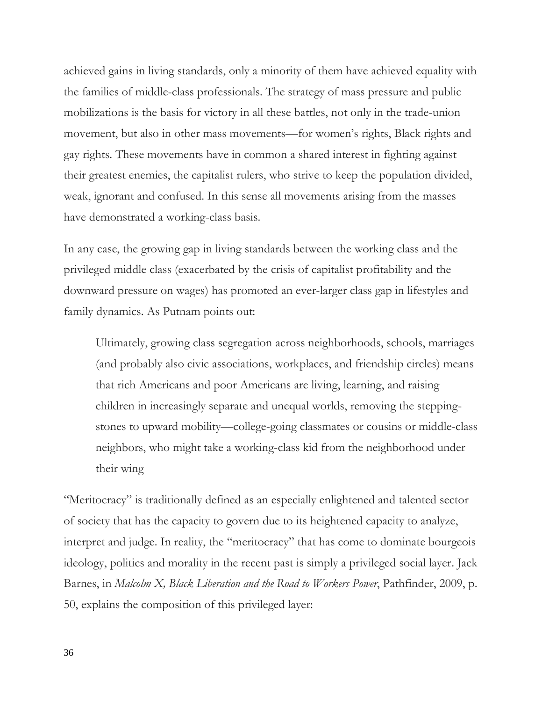achieved gains in living standards, only a minority of them have achieved equality with the families of middle-class professionals. The strategy of mass pressure and public mobilizations is the basis for victory in all these battles, not only in the trade-union movement, but also in other mass movements—for women's rights, Black rights and gay rights. These movements have in common a shared interest in fighting against their greatest enemies, the capitalist rulers, who strive to keep the population divided, weak, ignorant and confused. In this sense all movements arising from the masses have demonstrated a working-class basis.

In any case, the growing gap in living standards between the working class and the privileged middle class (exacerbated by the crisis of capitalist profitability and the downward pressure on wages) has promoted an ever-larger class gap in lifestyles and family dynamics. As Putnam points out:

Ultimately, growing class segregation across neighborhoods, schools, marriages (and probably also civic associations, workplaces, and friendship circles) means that rich Americans and poor Americans are living, learning, and raising children in increasingly separate and unequal worlds, removing the steppingstones to upward mobility—college-going classmates or cousins or middle-class neighbors, who might take a working-class kid from the neighborhood under their wing

"Meritocracy" is traditionally defined as an especially enlightened and talented sector of society that has the capacity to govern due to its heightened capacity to analyze, interpret and judge. In reality, the "meritocracy" that has come to dominate bourgeois ideology, politics and morality in the recent past is simply a privileged social layer. Jack Barnes, in *Malcolm X, Black Liberation and the Road to Workers Power*, Pathfinder, 2009, p. 50, explains the composition of this privileged layer: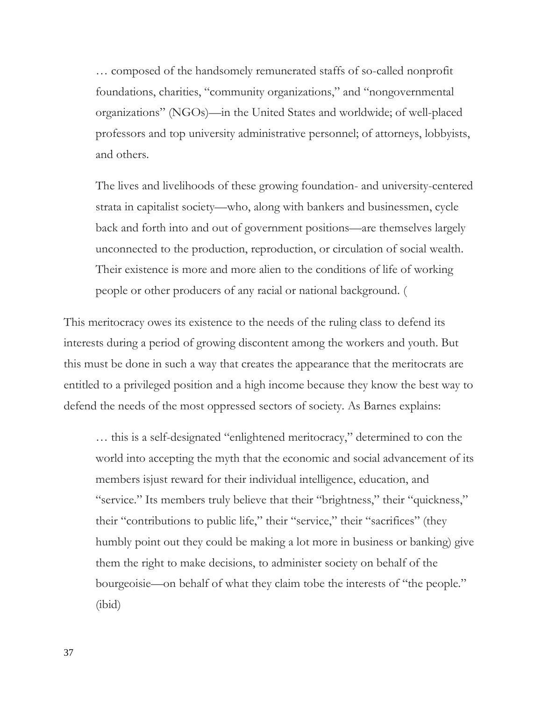… composed of the handsomely remunerated staffs of so-called nonprofit foundations, charities, "community organizations," and "nongovernmental organizations" (NGOs)—in the United States and worldwide; of well-placed professors and top university administrative personnel; of attorneys, lobbyists, and others.

The lives and livelihoods of these growing foundation- and university-centered strata in capitalist society—who, along with bankers and businessmen, cycle back and forth into and out of government positions—are themselves largely unconnected to the production, reproduction, or circulation of social wealth. Their existence is more and more alien to the conditions of life of working people or other producers of any racial or national background. (

This meritocracy owes its existence to the needs of the ruling class to defend its interests during a period of growing discontent among the workers and youth. But this must be done in such a way that creates the appearance that the meritocrats are entitled to a privileged position and a high income because they know the best way to defend the needs of the most oppressed sectors of society. As Barnes explains:

… this is a self-designated "enlightened meritocracy," determined to con the world into accepting the myth that the economic and social advancement of its members isjust reward for their individual intelligence, education, and "service." Its members truly believe that their "brightness," their "quickness," their "contributions to public life," their "service," their "sacrifices" (they humbly point out they could be making a lot more in business or banking) give them the right to make decisions, to administer society on behalf of the bourgeoisie—on behalf of what they claim tobe the interests of "the people." (ibid)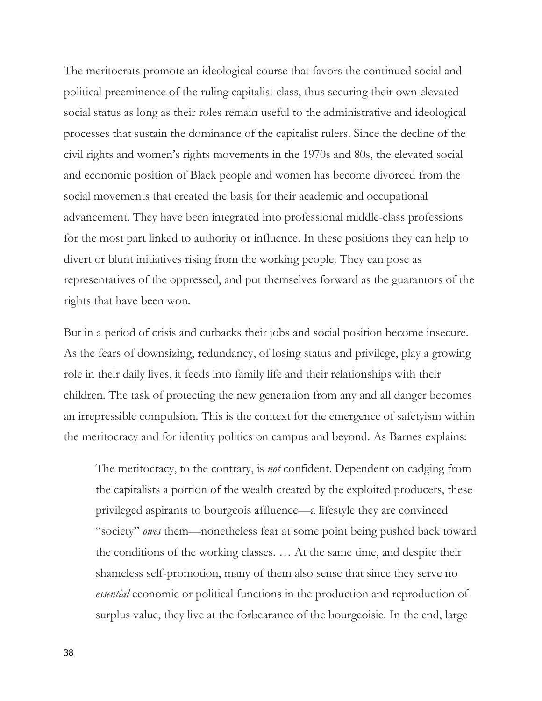The meritocrats promote an ideological course that favors the continued social and political preeminence of the ruling capitalist class, thus securing their own elevated social status as long as their roles remain useful to the administrative and ideological processes that sustain the dominance of the capitalist rulers. Since the decline of the civil rights and women's rights movements in the 1970s and 80s, the elevated social and economic position of Black people and women has become divorced from the social movements that created the basis for their academic and occupational advancement. They have been integrated into professional middle-class professions for the most part linked to authority or influence. In these positions they can help to divert or blunt initiatives rising from the working people. They can pose as representatives of the oppressed, and put themselves forward as the guarantors of the rights that have been won.

But in a period of crisis and cutbacks their jobs and social position become insecure. As the fears of downsizing, redundancy, of losing status and privilege, play a growing role in their daily lives, it feeds into family life and their relationships with their children. The task of protecting the new generation from any and all danger becomes an irrepressible compulsion. This is the context for the emergence of safetyism within the meritocracy and for identity politics on campus and beyond. As Barnes explains:

The meritocracy, to the contrary, is *not* confident. Dependent on cadging from the capitalists a portion of the wealth created by the exploited producers, these privileged aspirants to bourgeois affluence—a lifestyle they are convinced "society" *owes* them—nonetheless fear at some point being pushed back toward the conditions of the working classes. … At the same time, and despite their shameless self-promotion, many of them also sense that since they serve no *essential* economic or political functions in the production and reproduction of surplus value, they live at the forbearance of the bourgeoisie. In the end, large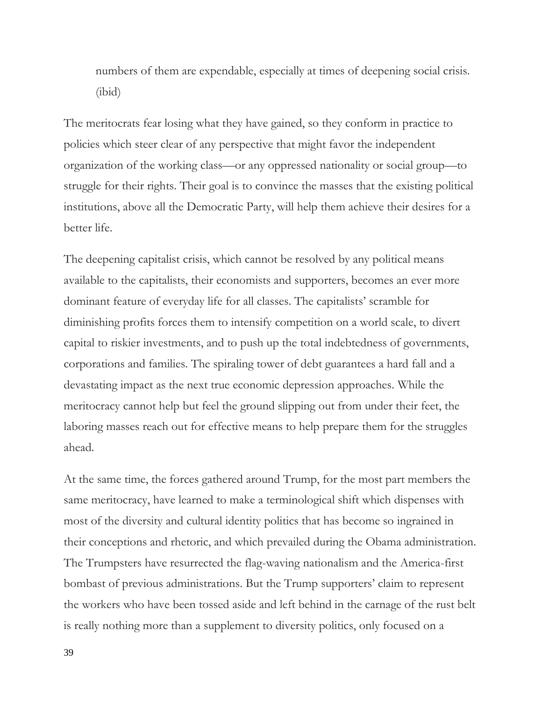numbers of them are expendable, especially at times of deepening social crisis. (ibid)

The meritocrats fear losing what they have gained, so they conform in practice to policies which steer clear of any perspective that might favor the independent organization of the working class—or any oppressed nationality or social group—to struggle for their rights. Their goal is to convince the masses that the existing political institutions, above all the Democratic Party, will help them achieve their desires for a better life.

The deepening capitalist crisis, which cannot be resolved by any political means available to the capitalists, their economists and supporters, becomes an ever more dominant feature of everyday life for all classes. The capitalists' scramble for diminishing profits forces them to intensify competition on a world scale, to divert capital to riskier investments, and to push up the total indebtedness of governments, corporations and families. The spiraling tower of debt guarantees a hard fall and a devastating impact as the next true economic depression approaches. While the meritocracy cannot help but feel the ground slipping out from under their feet, the laboring masses reach out for effective means to help prepare them for the struggles ahead.

At the same time, the forces gathered around Trump, for the most part members the same meritocracy, have learned to make a terminological shift which dispenses with most of the diversity and cultural identity politics that has become so ingrained in their conceptions and rhetoric, and which prevailed during the Obama administration. The Trumpsters have resurrected the flag-waving nationalism and the America-first bombast of previous administrations. But the Trump supporters' claim to represent the workers who have been tossed aside and left behind in the carnage of the rust belt is really nothing more than a supplement to diversity politics, only focused on a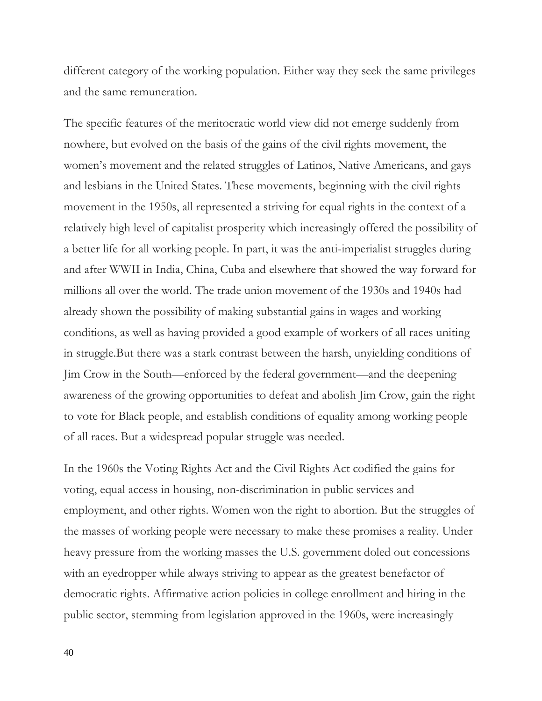different category of the working population. Either way they seek the same privileges and the same remuneration.

The specific features of the meritocratic world view did not emerge suddenly from nowhere, but evolved on the basis of the gains of the civil rights movement, the women's movement and the related struggles of Latinos, Native Americans, and gays and lesbians in the United States. These movements, beginning with the civil rights movement in the 1950s, all represented a striving for equal rights in the context of a relatively high level of capitalist prosperity which increasingly offered the possibility of a better life for all working people. In part, it was the anti-imperialist struggles during and after WWII in India, China, Cuba and elsewhere that showed the way forward for millions all over the world. The trade union movement of the 1930s and 1940s had already shown the possibility of making substantial gains in wages and working conditions, as well as having provided a good example of workers of all races uniting in struggle.But there was a stark contrast between the harsh, unyielding conditions of Jim Crow in the South—enforced by the federal government—and the deepening awareness of the growing opportunities to defeat and abolish Jim Crow, gain the right to vote for Black people, and establish conditions of equality among working people of all races. But a widespread popular struggle was needed.

In the 1960s the Voting Rights Act and the Civil Rights Act codified the gains for voting, equal access in housing, non-discrimination in public services and employment, and other rights. Women won the right to abortion. But the struggles of the masses of working people were necessary to make these promises a reality. Under heavy pressure from the working masses the U.S. government doled out concessions with an eyedropper while always striving to appear as the greatest benefactor of democratic rights. Affirmative action policies in college enrollment and hiring in the public sector, stemming from legislation approved in the 1960s, were increasingly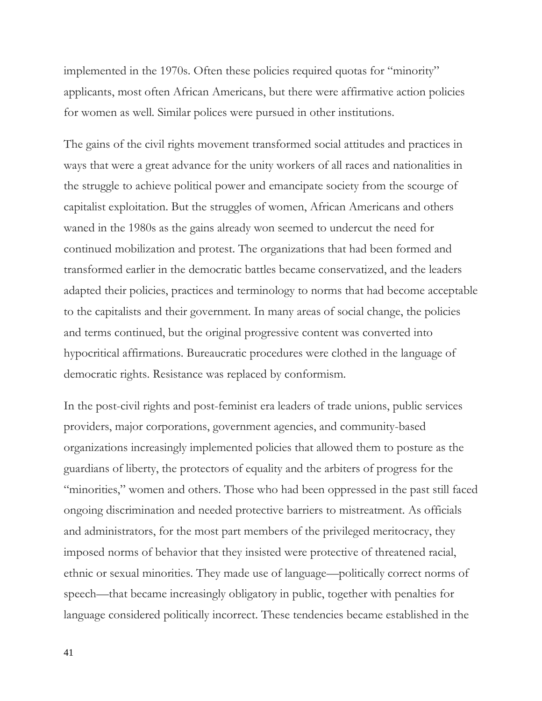implemented in the 1970s. Often these policies required quotas for "minority" applicants, most often African Americans, but there were affirmative action policies for women as well. Similar polices were pursued in other institutions.

The gains of the civil rights movement transformed social attitudes and practices in ways that were a great advance for the unity workers of all races and nationalities in the struggle to achieve political power and emancipate society from the scourge of capitalist exploitation. But the struggles of women, African Americans and others waned in the 1980s as the gains already won seemed to undercut the need for continued mobilization and protest. The organizations that had been formed and transformed earlier in the democratic battles became conservatized, and the leaders adapted their policies, practices and terminology to norms that had become acceptable to the capitalists and their government. In many areas of social change, the policies and terms continued, but the original progressive content was converted into hypocritical affirmations. Bureaucratic procedures were clothed in the language of democratic rights. Resistance was replaced by conformism.

In the post-civil rights and post-feminist era leaders of trade unions, public services providers, major corporations, government agencies, and community-based organizations increasingly implemented policies that allowed them to posture as the guardians of liberty, the protectors of equality and the arbiters of progress for the "minorities," women and others. Those who had been oppressed in the past still faced ongoing discrimination and needed protective barriers to mistreatment. As officials and administrators, for the most part members of the privileged meritocracy, they imposed norms of behavior that they insisted were protective of threatened racial, ethnic or sexual minorities. They made use of language—politically correct norms of speech—that became increasingly obligatory in public, together with penalties for language considered politically incorrect. These tendencies became established in the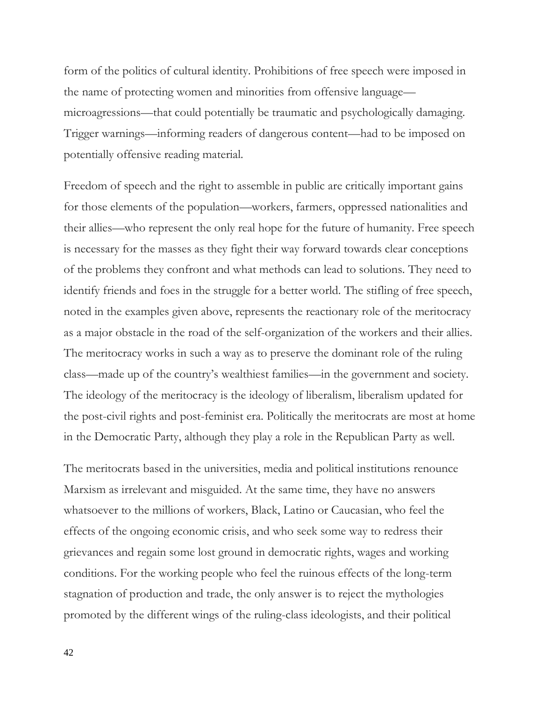form of the politics of cultural identity. Prohibitions of free speech were imposed in the name of protecting women and minorities from offensive language microagressions—that could potentially be traumatic and psychologically damaging. Trigger warnings—informing readers of dangerous content—had to be imposed on potentially offensive reading material.

Freedom of speech and the right to assemble in public are critically important gains for those elements of the population—workers, farmers, oppressed nationalities and their allies—who represent the only real hope for the future of humanity. Free speech is necessary for the masses as they fight their way forward towards clear conceptions of the problems they confront and what methods can lead to solutions. They need to identify friends and foes in the struggle for a better world. The stifling of free speech, noted in the examples given above, represents the reactionary role of the meritocracy as a major obstacle in the road of the self-organization of the workers and their allies. The meritocracy works in such a way as to preserve the dominant role of the ruling class—made up of the country's wealthiest families—in the government and society. The ideology of the meritocracy is the ideology of liberalism, liberalism updated for the post-civil rights and post-feminist era. Politically the meritocrats are most at home in the Democratic Party, although they play a role in the Republican Party as well.

The meritocrats based in the universities, media and political institutions renounce Marxism as irrelevant and misguided. At the same time, they have no answers whatsoever to the millions of workers, Black, Latino or Caucasian, who feel the effects of the ongoing economic crisis, and who seek some way to redress their grievances and regain some lost ground in democratic rights, wages and working conditions. For the working people who feel the ruinous effects of the long-term stagnation of production and trade, the only answer is to reject the mythologies promoted by the different wings of the ruling-class ideologists, and their political